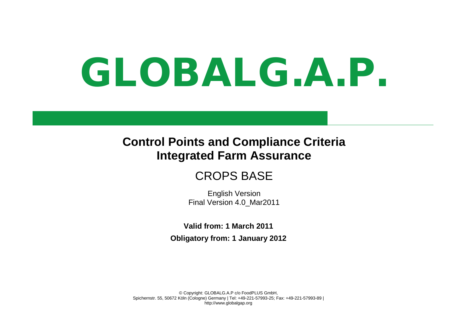# GLOBALG.A.P.

# **Control Points and Compliance Criteria Integrated Farm Assurance**

# CROPS BASE

English Version Final Version 4.0\_Mar2011

**Valid from: 1 March 2011 Obligatory from: 1 January 2012**

© Copyright: GLOBALG.A.P c/o FoodPLUS GmbH, Spichernstr. 55, 50672 Köln (Cologne) Germany | Tel: +49-221-57993-25; Fax: +49-221-57993-89 | http://www.globalgap.org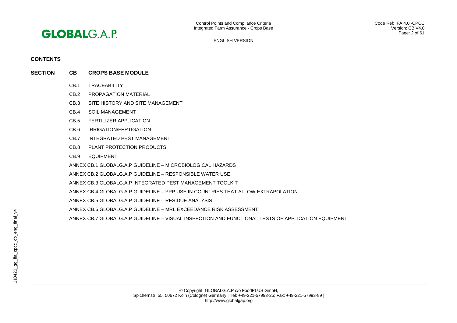

# **CONTENTS**

- **SECTION CB CROPS BASE MODULE**
	- CB.1 TRACEABILITY
	- CB.2 PROPAGATION MATERIAL
	- CB.3 SITE HISTORY AND SITE MANAGEMENT
	- CB.4 SOIL MANAGEMENT
	- CB.5 FERTILIZER APPLICATION
	- CB.6 IRRIGATION/FERTIGATION
	- CB.7 INTEGRATED PEST MANAGEMENT
	- CB.8 PLANT PROTECTION PRODUCTS
	- CB.9 EQUIPMENT
	- ANNEX CB.1 GLOBALG.A.P GUIDELINE MICROBIOLOGICAL HAZARDS
	- ANNEX CB.2 GLOBALG.A.P GUIDELINE RESPONSIBLE WATER USE
	- ANNEX CB.3 GLOBALG.A.P INTEGRATED PEST MANAGEMENT TOOLKIT
	- ANNEX CB.4 GLOBALG.A.P GUIDELINE PPP USE IN COUNTRIES THAT ALLOW EXTRAPOLATION
	- ANNEX CB.5 GLOBALG.A.P GUIDELINE RESIDUE ANALYSIS
	- ANNEX CB.6 GLOBALG.A.P GUIDELINE MRL EXCEEDANCE RISK ASSESSMENT
	- ANNEX CB.7 GLOBALG.A.P GUIDELINE VISUAL INSPECTION AND FUNCTIONAL TESTS OF APPLICATION EQUIPMENT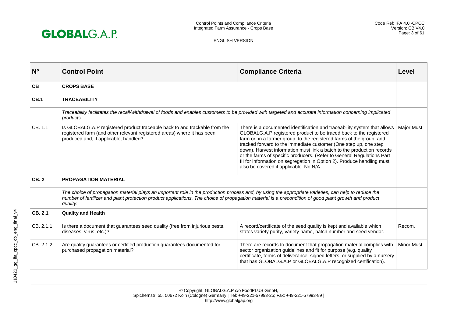

| N <sup>o</sup> | <b>Control Point</b>                                                                                                                                                                                                                                                                                                      | <b>Compliance Criteria</b>                                                                                                                                                                                                                                                                                                                                                                                                                                                                                                                                          | Level             |
|----------------|---------------------------------------------------------------------------------------------------------------------------------------------------------------------------------------------------------------------------------------------------------------------------------------------------------------------------|---------------------------------------------------------------------------------------------------------------------------------------------------------------------------------------------------------------------------------------------------------------------------------------------------------------------------------------------------------------------------------------------------------------------------------------------------------------------------------------------------------------------------------------------------------------------|-------------------|
| <b>CB</b>      | <b>CROPS BASE</b>                                                                                                                                                                                                                                                                                                         |                                                                                                                                                                                                                                                                                                                                                                                                                                                                                                                                                                     |                   |
| CB.1           | <b>TRACEABILITY</b>                                                                                                                                                                                                                                                                                                       |                                                                                                                                                                                                                                                                                                                                                                                                                                                                                                                                                                     |                   |
|                | Traceability facilitates the recall/withdrawal of foods and enables customers to be provided with targeted and accurate information concerning implicated<br>products.                                                                                                                                                    |                                                                                                                                                                                                                                                                                                                                                                                                                                                                                                                                                                     |                   |
| CB. 1.1        | Is GLOBALG.A.P registered product traceable back to and trackable from the<br>registered farm (and other relevant registered areas) where it has been<br>produced and, if applicable, handled?                                                                                                                            | There is a documented identification and traceability system that allows<br>GLOBALG.A.P registered product to be traced back to the registered<br>farm or, in a farmer group, to the registered farms of the group, and<br>tracked forward to the immediate customer (One step up, one step<br>down). Harvest information must link a batch to the production records<br>or the farms of specific producers. (Refer to General Regulations Part<br>III for information on segregation in Option 2). Produce handling must<br>also be covered if applicable. No N/A. | <b>Major Must</b> |
| <b>CB.2</b>    | <b>PROPAGATION MATERIAL</b>                                                                                                                                                                                                                                                                                               |                                                                                                                                                                                                                                                                                                                                                                                                                                                                                                                                                                     |                   |
|                | The choice of propagation material plays an important role in the production process and, by using the appropriate varieties, can help to reduce the<br>number of fertilizer and plant protection product applications. The choice of propagation material is a precondition of good plant growth and product<br>quality. |                                                                                                                                                                                                                                                                                                                                                                                                                                                                                                                                                                     |                   |
| CB. 2.1        | <b>Quality and Health</b>                                                                                                                                                                                                                                                                                                 |                                                                                                                                                                                                                                                                                                                                                                                                                                                                                                                                                                     |                   |
| CB. 2.1.1      | Is there a document that guarantees seed quality (free from injurious pests,<br>diseases, virus, etc.)?                                                                                                                                                                                                                   | A record/certificate of the seed quality is kept and available which<br>states variety purity, variety name, batch number and seed vendor.                                                                                                                                                                                                                                                                                                                                                                                                                          | Recom.            |
| CB. 2.1.2      | Are quality guarantees or certified production guarantees documented for<br>purchased propagation material?                                                                                                                                                                                                               | There are records to document that propagation material complies with<br>sector organization guidelines and fit for purpose (e.g. quality<br>certificate, terms of deliverance, signed letters, or supplied by a nursery<br>that has GLOBALG.A.P or GLOBALG.A.P recognized certification).                                                                                                                                                                                                                                                                          | <b>Minor Must</b> |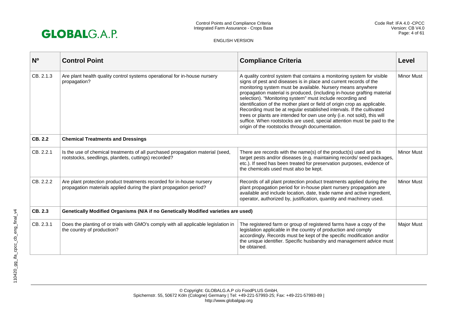

| N <sub>0</sub> | <b>Control Point</b>                                                                                                                        | <b>Compliance Criteria</b>                                                                                                                                                                                                                                                                                                                                                                                                                                                                                                                                                                                                                                                                                           | Level             |
|----------------|---------------------------------------------------------------------------------------------------------------------------------------------|----------------------------------------------------------------------------------------------------------------------------------------------------------------------------------------------------------------------------------------------------------------------------------------------------------------------------------------------------------------------------------------------------------------------------------------------------------------------------------------------------------------------------------------------------------------------------------------------------------------------------------------------------------------------------------------------------------------------|-------------------|
| CB. 2.1.3      | Are plant health quality control systems operational for in-house nursery<br>propagation?                                                   | A quality control system that contains a monitoring system for visible<br>signs of pest and diseases is in place and current records of the<br>monitoring system must be available. Nursery means anywhere<br>propagation material is produced, (including in-house grafting material<br>selection). "Monitoring system" must include recording and<br>identification of the mother plant or field of origin crop as applicable.<br>Recording must be at regular established intervals. If the cultivated<br>trees or plants are intended for own use only (i.e. not sold), this will<br>suffice. When rootstocks are used, special attention must be paid to the<br>origin of the rootstocks through documentation. | <b>Minor Must</b> |
| CB. 2.2        | <b>Chemical Treatments and Dressings</b>                                                                                                    |                                                                                                                                                                                                                                                                                                                                                                                                                                                                                                                                                                                                                                                                                                                      |                   |
| CB. 2.2.1      | Is the use of chemical treatments of all purchased propagation material (seed,<br>rootstocks, seedlings, plantlets, cuttings) recorded?     | There are records with the name(s) of the product(s) used and its<br>target pests and/or diseases (e.g. maintaining records/ seed packages,<br>etc.). If seed has been treated for preservation purposes, evidence of<br>the chemicals used must also be kept.                                                                                                                                                                                                                                                                                                                                                                                                                                                       | <b>Minor Must</b> |
| CB. 2.2.2      | Are plant protection product treatments recorded for in-house nursery<br>propagation materials applied during the plant propagation period? | Records of all plant protection product treatments applied during the<br>plant propagation period for in-house plant nursery propagation are<br>available and include location, date, trade name and active ingredient,<br>operator, authorized by, justification, quantity and machinery used.                                                                                                                                                                                                                                                                                                                                                                                                                      | <b>Minor Must</b> |
| CB. 2.3        | Genetically Modified Organisms (N/A if no Genetically Modified varieties are used)                                                          |                                                                                                                                                                                                                                                                                                                                                                                                                                                                                                                                                                                                                                                                                                                      |                   |
| CB. 2.3.1      | Does the planting of or trials with GMO's comply with all applicable legislation in<br>the country of production?                           | The registered farm or group of registered farms have a copy of the<br>legislation applicable in the country of production and comply<br>accordingly. Records must be kept of the specific modification and/or<br>the unique identifier. Specific husbandry and management advice must<br>be obtained.                                                                                                                                                                                                                                                                                                                                                                                                               | <b>Major Must</b> |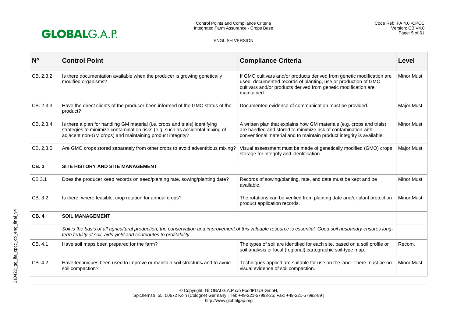

| N <sub>0</sub> | <b>Control Point</b>                                                                                                                                                                                                                 | <b>Compliance Criteria</b>                                                                                                                                                                                                 | Level             |
|----------------|--------------------------------------------------------------------------------------------------------------------------------------------------------------------------------------------------------------------------------------|----------------------------------------------------------------------------------------------------------------------------------------------------------------------------------------------------------------------------|-------------------|
| CB. 2.3.2      | Is there documentation available when the producer is growing genetically<br>modified organisms?                                                                                                                                     | If GMO cultivars and/or products derived from genetic modification are<br>used, documented records of planting, use or production of GMO<br>cultivars and/or products derived from genetic modification are<br>maintained. | <b>Minor Must</b> |
| CB. 2.3.3      | Have the direct clients of the producer been informed of the GMO status of the<br>product?                                                                                                                                           | Documented evidence of communication must be provided.                                                                                                                                                                     | Major Must        |
| CB. 2.3.4      | Is there a plan for handling GM material (i.e. crops and trials) identifying<br>strategies to minimize contamination risks (e.g. such as accidental mixing of<br>adjacent non-GM crops) and maintaining product integrity?           | A written plan that explains how GM materials (e.g. crops and trials)<br>are handled and stored to minimize risk of contamination with<br>conventional material and to maintain product integrity is available.            | <b>Minor Must</b> |
| CB. 2.3.5      | Are GMO crops stored separately from other crops to avoid adventitious mixing?                                                                                                                                                       | Visual assessment must be made of genetically modified (GMO) crops<br>storage for integrity and identification.                                                                                                            | <b>Major Must</b> |
| <b>CB.3</b>    | SITE HISTORY AND SITE MANAGEMENT                                                                                                                                                                                                     |                                                                                                                                                                                                                            |                   |
| CB 3.1         | Does the producer keep records on seed/planting rate, sowing/planting date?                                                                                                                                                          | Records of sowing/planting, rate, and date must be kept and be<br>available.                                                                                                                                               | <b>Minor Must</b> |
| CB. 3.2        | Is there, where feasible, crop rotation for annual crops?                                                                                                                                                                            | The rotations can be verified from planting date and/or plant protection<br>product application records.                                                                                                                   | <b>Minor Must</b> |
| <b>CB.4</b>    | <b>SOIL MANAGEMENT</b>                                                                                                                                                                                                               |                                                                                                                                                                                                                            |                   |
|                | Soil is the basis of all agricultural production; the conservation and improvement of this valuable resource is essential. Good soil husbandry ensures long-<br>term fertility of soil, aids yield and contributes to profitability. |                                                                                                                                                                                                                            |                   |
| CB. 4.1        | Have soil maps been prepared for the farm?                                                                                                                                                                                           | The types of soil are identified for each site, based on a soil profile or<br>soil analysis or local (regional) cartographic soil-type map.                                                                                | Recom.            |
| CB. 4.2        | Have techniques been used to improve or maintain soil structure, and to avoid<br>soil compaction?                                                                                                                                    | Techniques applied are suitable for use on the land. There must be no<br>visual evidence of soil compaction.                                                                                                               | <b>Minor Must</b> |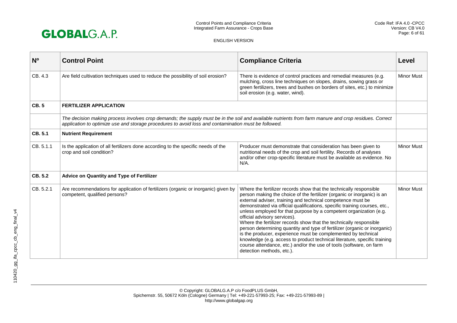

| N <sub>o</sub> | <b>Control Point</b>                                                                                                                                                                                                                                          | <b>Compliance Criteria</b>                                                                                                                                                                                                                                                                                                                                                                                                                                                                                                                                                                                                                                                                                                                                                                            | Level             |
|----------------|---------------------------------------------------------------------------------------------------------------------------------------------------------------------------------------------------------------------------------------------------------------|-------------------------------------------------------------------------------------------------------------------------------------------------------------------------------------------------------------------------------------------------------------------------------------------------------------------------------------------------------------------------------------------------------------------------------------------------------------------------------------------------------------------------------------------------------------------------------------------------------------------------------------------------------------------------------------------------------------------------------------------------------------------------------------------------------|-------------------|
| CB. 4.3        | Are field cultivation techniques used to reduce the possibility of soil erosion?                                                                                                                                                                              | There is evidence of control practices and remedial measures (e.g.<br>mulching, cross line techniques on slopes, drains, sowing grass or<br>green fertilizers, trees and bushes on borders of sites, etc.) to minimize<br>soil erosion (e.g. water, wind).                                                                                                                                                                                                                                                                                                                                                                                                                                                                                                                                            | <b>Minor Must</b> |
| <b>CB.5</b>    | <b>FERTILIZER APPLICATION</b>                                                                                                                                                                                                                                 |                                                                                                                                                                                                                                                                                                                                                                                                                                                                                                                                                                                                                                                                                                                                                                                                       |                   |
|                | The decision making process involves crop demands; the supply must be in the soil and available nutrients from farm manure and crop residues. Correct<br>application to optimize use and storage procedures to avoid loss and contamination must be followed. |                                                                                                                                                                                                                                                                                                                                                                                                                                                                                                                                                                                                                                                                                                                                                                                                       |                   |
| CB. 5.1        | <b>Nutrient Requirement</b>                                                                                                                                                                                                                                   |                                                                                                                                                                                                                                                                                                                                                                                                                                                                                                                                                                                                                                                                                                                                                                                                       |                   |
| CB. 5.1.1      | Is the application of all fertilizers done according to the specific needs of the<br>crop and soil condition?                                                                                                                                                 | Producer must demonstrate that consideration has been given to<br>nutritional needs of the crop and soil fertility. Records of analyses<br>and/or other crop-specific literature must be available as evidence. No<br>$N/A$ .                                                                                                                                                                                                                                                                                                                                                                                                                                                                                                                                                                         | <b>Minor Must</b> |
| CB. 5.2        | Advice on Quantity and Type of Fertilizer                                                                                                                                                                                                                     |                                                                                                                                                                                                                                                                                                                                                                                                                                                                                                                                                                                                                                                                                                                                                                                                       |                   |
| CB. 5.2.1      | Are recommendations for application of fertilizers (organic or inorganic) given by<br>competent, qualified persons?                                                                                                                                           | Where the fertilizer records show that the technically responsible<br>person making the choice of the fertilizer (organic or inorganic) is an<br>external adviser, training and technical competence must be<br>demonstrated via official qualifications, specific training courses, etc.,<br>unless employed for that purpose by a competent organization (e.g.<br>official advisory services).<br>Where the fertilizer records show that the technically responsible<br>person determining quantity and type of fertilizer (organic or inorganic)<br>is the producer, experience must be complemented by technical<br>knowledge (e.g. access to product technical literature, specific training<br>course attendance, etc.) and/or the use of tools (software, on farm<br>detection methods, etc.). | <b>Minor Must</b> |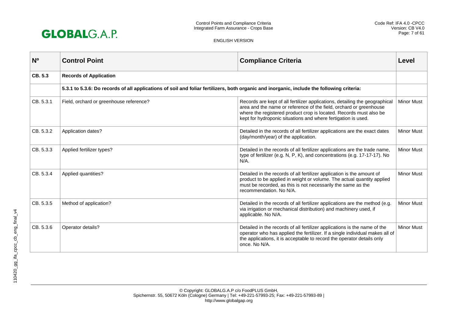

| N <sub>0</sub> | <b>Control Point</b>                                                                                                                       | <b>Compliance Criteria</b>                                                                                                                                                                                                                                                               | Level             |
|----------------|--------------------------------------------------------------------------------------------------------------------------------------------|------------------------------------------------------------------------------------------------------------------------------------------------------------------------------------------------------------------------------------------------------------------------------------------|-------------------|
| CB. 5.3        | <b>Records of Application</b>                                                                                                              |                                                                                                                                                                                                                                                                                          |                   |
|                | 5.3.1 to 5.3.6: Do records of all applications of soil and foliar fertilizers, both organic and inorganic, include the following criteria: |                                                                                                                                                                                                                                                                                          |                   |
| CB. 5.3.1      | Field, orchard or greenhouse reference?                                                                                                    | Records are kept of all fertilizer applications, detailing the geographical<br>area and the name or reference of the field, orchard or greenhouse<br>where the registered product crop is located. Records must also be<br>kept for hydroponic situations and where fertigation is used. | <b>Minor Must</b> |
| CB. 5.3.2      | Application dates?                                                                                                                         | Detailed in the records of all fertilizer applications are the exact dates<br>(day/month/year) of the application.                                                                                                                                                                       | <b>Minor Must</b> |
| CB. 5.3.3      | Applied fertilizer types?                                                                                                                  | Detailed in the records of all fertilizer applications are the trade name,<br>type of fertilizer (e.g. N, P, K), and concentrations (e.g. 17-17-17). No<br>$N/A$ .                                                                                                                       | <b>Minor Must</b> |
| CB. 5.3.4      | Applied quantities?                                                                                                                        | Detailed in the records of all fertilizer application is the amount of<br>product to be applied in weight or volume. The actual quantity applied<br>must be recorded, as this is not necessarily the same as the<br>recommendation. No N/A.                                              | <b>Minor Must</b> |
| CB. 5.3.5      | Method of application?                                                                                                                     | Detailed in the records of all fertilizer applications are the method (e.g.<br>via irrigation or mechanical distribution) and machinery used, if<br>applicable. No N/A.                                                                                                                  | <b>Minor Must</b> |
| CB. 5.3.6      | Operator details?                                                                                                                          | Detailed in the records of all fertilizer applications is the name of the<br>operator who has applied the fertilizer. If a single individual makes all of<br>the applications, it is acceptable to record the operator details only<br>once. No N/A.                                     | <b>Minor Must</b> |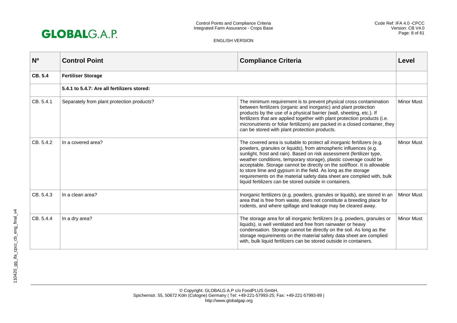

| N <sub>0</sub> | <b>Control Point</b>                        | <b>Compliance Criteria</b>                                                                                                                                                                                                                                                                                                                                                                                                                                                                                                                                                   | Level             |
|----------------|---------------------------------------------|------------------------------------------------------------------------------------------------------------------------------------------------------------------------------------------------------------------------------------------------------------------------------------------------------------------------------------------------------------------------------------------------------------------------------------------------------------------------------------------------------------------------------------------------------------------------------|-------------------|
| CB. 5.4        | <b>Fertiliser Storage</b>                   |                                                                                                                                                                                                                                                                                                                                                                                                                                                                                                                                                                              |                   |
|                | 5.4.1 to 5.4.7: Are all fertilizers stored: |                                                                                                                                                                                                                                                                                                                                                                                                                                                                                                                                                                              |                   |
| CB. 5.4.1      | Separately from plant protection products?  | The minimum requirement is to prevent physical cross contamination<br>between fertilizers (organic and inorganic) and plant protection<br>products by the use of a physical barrier (wall, sheeting, etc.). If<br>fertilizers that are applied together with plant protection products (i.e.<br>micronutrients or foliar fertilizers) are packed in a closed container, they<br>can be stored with plant protection products.                                                                                                                                                | <b>Minor Must</b> |
| CB. 5.4.2      | In a covered area?                          | The covered area is suitable to protect all inorganic fertilizers (e.g.<br>powders, granules or liquids), from atmospheric influences (e.g.<br>sunlight, frost and rain). Based on risk assessment (fertilizer type,<br>weather conditions, temporary storage), plastic coverage could be<br>acceptable. Storage cannot be directly on the soil/floor. It is allowable<br>to store lime and gypsum in the field. As long as the storage<br>requirements on the material safety data sheet are complied with, bulk<br>liquid fertilizers can be stored outside in containers. | <b>Minor Must</b> |
| CB. 5.4.3      | In a clean area?                            | Inorganic fertilizers (e.g. powders, granules or liquids), are stored in an<br>area that is free from waste, does not constitute a breeding place for<br>rodents, and where spillage and leakage may be cleared away.                                                                                                                                                                                                                                                                                                                                                        | <b>Minor Must</b> |
| CB. 5.4.4      | In a dry area?                              | The storage area for all inorganic fertilizers (e.g. powders, granules or<br>liquids), is well ventilated and free from rainwater or heavy<br>condensation. Storage cannot be directly on the soil. As long as the<br>storage requirements on the material safety data sheet are complied<br>with, bulk liquid fertilizers can be stored outside in containers.                                                                                                                                                                                                              | <b>Minor Must</b> |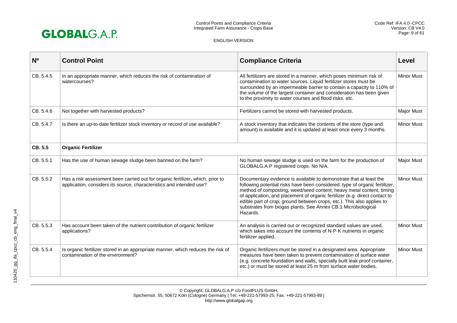

| N <sub>0</sub> | <b>Control Point</b>                                                                                                                                   | <b>Compliance Criteria</b>                                                                                                                                                                                                                                                                                                                                                                                                                                      | Level             |
|----------------|--------------------------------------------------------------------------------------------------------------------------------------------------------|-----------------------------------------------------------------------------------------------------------------------------------------------------------------------------------------------------------------------------------------------------------------------------------------------------------------------------------------------------------------------------------------------------------------------------------------------------------------|-------------------|
| CB. 5.4.5      | In an appropriate manner, which reduces the risk of contamination of<br>watercourses?                                                                  | All fertilizers are stored in a manner, which poses minimum risk of<br>contamination to water sources. Liquid fertilizer stores must be<br>surrounded by an impermeable barrier to contain a capacity to 110% of<br>the volume of the largest container and consideration has been given<br>to the proximity to water courses and flood risks, etc.                                                                                                             | <b>Minor Must</b> |
| CB. 5.4.6      | Not together with harvested products?                                                                                                                  | Fertilizers cannot be stored with harvested products.                                                                                                                                                                                                                                                                                                                                                                                                           | <b>Major Must</b> |
| CB. 5.4.7      | Is there an up-to-date fertilizer stock inventory or record of use available?                                                                          | A stock inventory that indicates the contents of the store (type and<br>amount) is available and it is updated at least once every 3 months.                                                                                                                                                                                                                                                                                                                    | <b>Minor Must</b> |
| CB. 5.5        | <b>Organic Fertilizer</b>                                                                                                                              |                                                                                                                                                                                                                                                                                                                                                                                                                                                                 |                   |
| CB. 5.5.1      | Has the use of human sewage sludge been banned on the farm?                                                                                            | No human sewage sludge is used on the farm for the production of<br>GLOBALG.A.P registered crops. No N/A.                                                                                                                                                                                                                                                                                                                                                       | <b>Major Must</b> |
| CB. 5.5.2      | Has a risk assessment been carried out for organic fertilizer, which, prior to<br>application, considers its source, characteristics and intended use? | Documentary evidence is available to demonstrate that at least the<br>following potential risks have been considered: type of organic fertilizer,<br>method of composting, weed/seed content, heavy metal content, timing<br>of application, and placement of organic fertilizer (e.g. direct contact to<br>edible part of crop, ground between crops, etc.). This also applies to<br>substrates from biogas plants. See Annex CB.1 Microbiological<br>Hazards. | <b>Minor Must</b> |
| CB, 5.5.3      | Has account been taken of the nutrient contribution of organic fertilizer<br>applications?                                                             | An analysis is carried out or recognized standard values are used,<br>which takes into account the contents of N-P-K nutrients in organic<br>fertilizer applied.                                                                                                                                                                                                                                                                                                | <b>Minor Must</b> |
| CB. 5.5.4      | Is organic fertilizer stored in an appropriate manner, which reduces the risk of<br>contamination of the environment?                                  | Organic fertilizers must be stored in a designated area. Appropriate<br>measures have been taken to prevent contamination of surface water<br>(e.g. concrete foundation and walls, specially built leak proof container,<br>etc.) or must be stored at least 25 m from surface water bodies.                                                                                                                                                                    | <b>Minor Must</b> |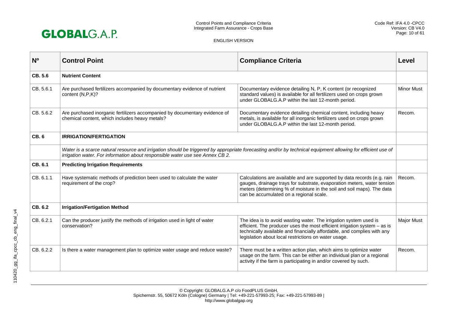

| N <sub>0</sub> | <b>Control Point</b>                                                                                                                                                                                                                          | <b>Compliance Criteria</b>                                                                                                                                                                                                                                                          | Level             |
|----------------|-----------------------------------------------------------------------------------------------------------------------------------------------------------------------------------------------------------------------------------------------|-------------------------------------------------------------------------------------------------------------------------------------------------------------------------------------------------------------------------------------------------------------------------------------|-------------------|
| CB. 5.6        | <b>Nutrient Content</b>                                                                                                                                                                                                                       |                                                                                                                                                                                                                                                                                     |                   |
| CB. 5.6.1      | Are purchased fertilizers accompanied by documentary evidence of nutrient<br>content (N,P,K)?                                                                                                                                                 | Documentary evidence detailing N, P, K content (or recognized<br>standard values) is available for all fertilizers used on crops grown<br>under GLOBALG.A.P within the last 12-month period.                                                                                        | <b>Minor Must</b> |
| CB. 5.6.2      | Are purchased inorganic fertilizers accompanied by documentary evidence of<br>chemical content, which includes heavy metals?                                                                                                                  | Documentary evidence detailing chemical content, including heavy<br>metals, is available for all inorganic fertilizers used on crops grown<br>under GLOBALG.A.P within the last 12-month period.                                                                                    | Recom.            |
| <b>CB.6</b>    | <b>IRRIGATION/FERTIGATION</b>                                                                                                                                                                                                                 |                                                                                                                                                                                                                                                                                     |                   |
|                | Water is a scarce natural resource and irrigation should be triggered by appropriate forecasting and/or by technical equipment allowing for efficient use of<br>irrigation water. For information about responsible water use see Annex CB 2. |                                                                                                                                                                                                                                                                                     |                   |
| CB. 6.1        | <b>Predicting Irrigation Requirements</b>                                                                                                                                                                                                     |                                                                                                                                                                                                                                                                                     |                   |
| CB. 6.1.1      | Have systematic methods of prediction been used to calculate the water<br>requirement of the crop?                                                                                                                                            | Calculations are available and are supported by data records (e.g. rain<br>gauges, drainage trays for substrate, evaporation meters, water tension<br>meters (determining % of moisture in the soil and soil maps). The data<br>can be accumulated on a regional scale.             | Recom.            |
| CB. 6.2        | <b>Irrigation/Fertigation Method</b>                                                                                                                                                                                                          |                                                                                                                                                                                                                                                                                     |                   |
| CB. 6.2.1      | Can the producer justify the methods of irrigation used in light of water<br>conservation?                                                                                                                                                    | The idea is to avoid wasting water. The irrigation system used is<br>efficient. The producer uses the most efficient irrigation system $-$ as is<br>technically available and financially affordable, and complies with any<br>legislation about local restrictions on water usage. | <b>Major Must</b> |
| CB. 6.2.2      | Is there a water management plan to optimize water usage and reduce waste?                                                                                                                                                                    | There must be a written action plan, which aims to optimize water<br>usage on the farm. This can be either an individual plan or a regional<br>activity if the farm is participating in and/or covered by such.                                                                     | Recom.            |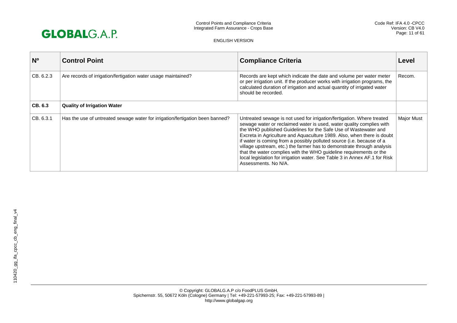

| $N^{\circ}$ | <b>Control Point</b>                                                          | <b>Compliance Criteria</b>                                                                                                                                                                                                                                                                                                                                                                                                                                                                                                                                                                                                 | Level             |
|-------------|-------------------------------------------------------------------------------|----------------------------------------------------------------------------------------------------------------------------------------------------------------------------------------------------------------------------------------------------------------------------------------------------------------------------------------------------------------------------------------------------------------------------------------------------------------------------------------------------------------------------------------------------------------------------------------------------------------------------|-------------------|
| CB. 6.2.3   | Are records of irrigation/fertigation water usage maintained?                 | Records are kept which indicate the date and volume per water meter<br>or per irrigation unit. If the producer works with irrigation programs, the<br>calculated duration of irrigation and actual quantity of irrigated water<br>should be recorded.                                                                                                                                                                                                                                                                                                                                                                      | Recom.            |
| CB, 6.3     | <b>Quality of Irrigation Water</b>                                            |                                                                                                                                                                                                                                                                                                                                                                                                                                                                                                                                                                                                                            |                   |
| CB. 6.3.1   | Has the use of untreated sewage water for irrigation/fertigation been banned? | Untreated sewage is not used for irrigation/fertigation. Where treated<br>sewage water or reclaimed water is used, water quality complies with<br>the WHO published Guidelines for the Safe Use of Wastewater and<br>Excreta in Agriculture and Aquaculture 1989. Also, when there is doubt<br>if water is coming from a possibly polluted source (i.e. because of a<br>village upstream, etc.) the farmer has to demonstrate through analysis<br>that the water complies with the WHO guideline requirements or the<br>local legislation for irrigation water. See Table 3 in Annex AF.1 for Risk<br>Assessments, No N/A. | <b>Major Must</b> |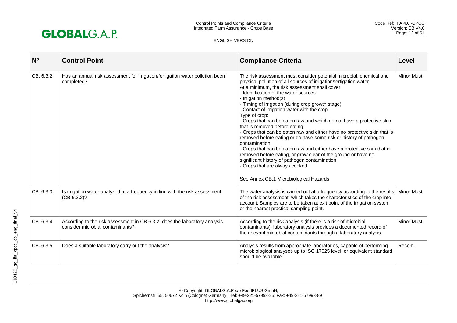

| N <sub>o</sub> | <b>Control Point</b>                                                                                           | <b>Compliance Criteria</b>                                                                                                                                                                                                                                                                                                                                                                                                                                                                                                                                                                                                                                                                                                                                                                                                                                                                                                                | Level             |
|----------------|----------------------------------------------------------------------------------------------------------------|-------------------------------------------------------------------------------------------------------------------------------------------------------------------------------------------------------------------------------------------------------------------------------------------------------------------------------------------------------------------------------------------------------------------------------------------------------------------------------------------------------------------------------------------------------------------------------------------------------------------------------------------------------------------------------------------------------------------------------------------------------------------------------------------------------------------------------------------------------------------------------------------------------------------------------------------|-------------------|
| CB. 6.3.2      | Has an annual risk assessment for irrigation/fertigation water pollution been<br>completed?                    | The risk assessment must consider potential microbial, chemical and<br>physical pollution of all sources of irrigation/fertigation water.<br>At a minimum, the risk assessment shall cover:<br>- Identification of the water sources<br>- Irrigation method(s)<br>- Timing of irrigation (during crop growth stage)<br>- Contact of irrigation water with the crop<br>Type of crop:<br>- Crops that can be eaten raw and which do not have a protective skin<br>that is removed before eating<br>- Crops that can be eaten raw and either have no protective skin that is<br>removed before eating or do have some risk or history of pathogen<br>contamination<br>- Crops that can be eaten raw and either have a protective skin that is<br>removed before eating, or grow clear of the ground or have no<br>significant history of pathogen contamination.<br>- Crops that are always cooked<br>See Annex CB.1 Microbiological Hazards | <b>Minor Must</b> |
| CB. 6.3.3      | Is irrigation water analyzed at a frequency in line with the risk assessment<br>(CB.6.3.2)?                    | The water analysis is carried out at a frequency according to the results<br>of the risk assessment, which takes the characteristics of the crop into<br>account. Samples are to be taken at exit point of the irrigation system<br>or the nearest practical sampling point.                                                                                                                                                                                                                                                                                                                                                                                                                                                                                                                                                                                                                                                              | <b>Minor Must</b> |
| CB. 6.3.4      | According to the risk assessment in CB.6.3.2, does the laboratory analysis<br>consider microbial contaminants? | According to the risk analysis (if there is a risk of microbial<br>contaminants), laboratory analysis provides a documented record of<br>the relevant microbial contaminants through a laboratory analysis.                                                                                                                                                                                                                                                                                                                                                                                                                                                                                                                                                                                                                                                                                                                               | <b>Minor Must</b> |
| CB. 6.3.5      | Does a suitable laboratory carry out the analysis?                                                             | Analysis results from appropriate laboratories, capable of performing<br>microbiological analyses up to ISO 17025 level, or equivalent standard,<br>should be available.                                                                                                                                                                                                                                                                                                                                                                                                                                                                                                                                                                                                                                                                                                                                                                  | Recom.            |

110420\_gg\_ifa\_cpcc\_cb\_eng\_final\_v4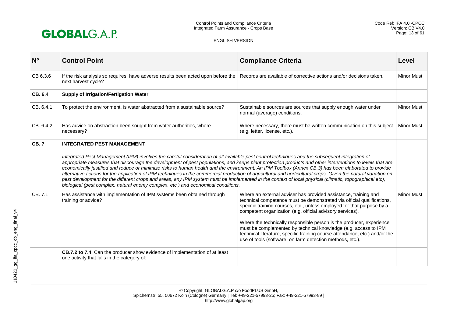

| N <sub>o</sub> | <b>Control Point</b>                                                                                                                                                                                                                                                                                                                                                                                                                                                                                                                                                                                                                                                                                                                                                                                                                                                               | <b>Compliance Criteria</b>                                                                                                                                                                                                                                                                                                                                                                                                                                                                                                                                              | Level             |
|----------------|------------------------------------------------------------------------------------------------------------------------------------------------------------------------------------------------------------------------------------------------------------------------------------------------------------------------------------------------------------------------------------------------------------------------------------------------------------------------------------------------------------------------------------------------------------------------------------------------------------------------------------------------------------------------------------------------------------------------------------------------------------------------------------------------------------------------------------------------------------------------------------|-------------------------------------------------------------------------------------------------------------------------------------------------------------------------------------------------------------------------------------------------------------------------------------------------------------------------------------------------------------------------------------------------------------------------------------------------------------------------------------------------------------------------------------------------------------------------|-------------------|
| CB 6.3.6       | If the risk analysis so requires, have adverse results been acted upon before the<br>next harvest cycle?                                                                                                                                                                                                                                                                                                                                                                                                                                                                                                                                                                                                                                                                                                                                                                           | Records are available of corrective actions and/or decisions taken.                                                                                                                                                                                                                                                                                                                                                                                                                                                                                                     | <b>Minor Must</b> |
| CB. 6.4        | <b>Supply of Irrigation/Fertigation Water</b>                                                                                                                                                                                                                                                                                                                                                                                                                                                                                                                                                                                                                                                                                                                                                                                                                                      |                                                                                                                                                                                                                                                                                                                                                                                                                                                                                                                                                                         |                   |
| CB, 6.4.1      | To protect the environment, is water abstracted from a sustainable source?                                                                                                                                                                                                                                                                                                                                                                                                                                                                                                                                                                                                                                                                                                                                                                                                         | Sustainable sources are sources that supply enough water under<br>normal (average) conditions.                                                                                                                                                                                                                                                                                                                                                                                                                                                                          | <b>Minor Must</b> |
| CB. 6.4.2      | Has advice on abstraction been sought from water authorities, where<br>necessary?                                                                                                                                                                                                                                                                                                                                                                                                                                                                                                                                                                                                                                                                                                                                                                                                  | Where necessary, there must be written communication on this subject<br>(e.g. letter, license, etc.).                                                                                                                                                                                                                                                                                                                                                                                                                                                                   | <b>Minor Must</b> |
| <b>CB.7</b>    | <b>INTEGRATED PEST MANAGEMENT</b>                                                                                                                                                                                                                                                                                                                                                                                                                                                                                                                                                                                                                                                                                                                                                                                                                                                  |                                                                                                                                                                                                                                                                                                                                                                                                                                                                                                                                                                         |                   |
|                | Integrated Pest Management (IPM) involves the careful consideration of all available pest control techniques and the subsequent integration of<br>appropriate measures that discourage the development of pest populations, and keeps plant protection products and other interventions to levels that are<br>economically justified and reduce or minimize risks to human health and the environment. An IPM Toolbox (Annex CB.3) has been elaborated to provide<br>alternative actions for the application of IPM techniques in the commercial production of agricultural and horticultural crops. Given the natural variation on<br>pest development for the different crops and areas, any IPM system must be implemented in the context of local physical (climatic, topographical etc),<br>biological (pest complex, natural enemy complex, etc.) and economical conditions. |                                                                                                                                                                                                                                                                                                                                                                                                                                                                                                                                                                         |                   |
| CB. 7.1        | Has assistance with implementation of IPM systems been obtained through<br>training or advice?                                                                                                                                                                                                                                                                                                                                                                                                                                                                                                                                                                                                                                                                                                                                                                                     | Where an external adviser has provided assistance, training and<br>technical competence must be demonstrated via official qualifications,<br>specific training courses, etc., unless employed for that purpose by a<br>competent organization (e.g. official advisory services).<br>Where the technically responsible person is the producer, experience<br>must be complemented by technical knowledge (e.g. access to IPM<br>technical literature, specific training course attendance, etc.) and/or the<br>use of tools (software, on farm detection methods, etc.). | <b>Minor Must</b> |
|                | CB.7.2 to 7.4: Can the producer show evidence of implementation of at least<br>one activity that falls in the category of:                                                                                                                                                                                                                                                                                                                                                                                                                                                                                                                                                                                                                                                                                                                                                         |                                                                                                                                                                                                                                                                                                                                                                                                                                                                                                                                                                         |                   |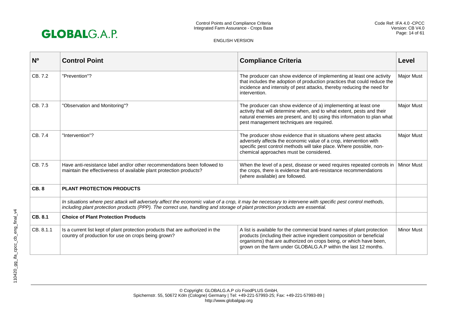

| N <sub>0</sub> | <b>Control Point</b>                                                                                                                                                                                                                                                                     | <b>Compliance Criteria</b>                                                                                                                                                                                                                                                              | Level             |
|----------------|------------------------------------------------------------------------------------------------------------------------------------------------------------------------------------------------------------------------------------------------------------------------------------------|-----------------------------------------------------------------------------------------------------------------------------------------------------------------------------------------------------------------------------------------------------------------------------------------|-------------------|
| CB. 7.2        | "Prevention"?                                                                                                                                                                                                                                                                            | The producer can show evidence of implementing at least one activity<br>that includes the adoption of production practices that could reduce the<br>incidence and intensity of pest attacks, thereby reducing the need for<br>intervention.                                             | <b>Major Must</b> |
| CB. 7.3        | "Observation and Monitoring"?                                                                                                                                                                                                                                                            | The producer can show evidence of a) implementing at least one<br>activity that will determine when, and to what extent, pests and their<br>natural enemies are present, and b) using this information to plan what<br>pest management techniques are required.                         | <b>Major Must</b> |
| CB. 7.4        | "Intervention"?                                                                                                                                                                                                                                                                          | The producer show evidence that in situations where pest attacks<br>adversely affects the economic value of a crop, intervention with<br>specific pest control methods will take place. Where possible, non-<br>chemical approaches must be considered.                                 | <b>Major Must</b> |
| CB. 7.5        | Have anti-resistance label and/or other recommendations been followed to<br>maintain the effectiveness of available plant protection products?                                                                                                                                           | When the level of a pest, disease or weed requires repeated controls in<br>the crops, there is evidence that anti-resistance recommendations<br>(where available) are followed.                                                                                                         | <b>Minor Must</b> |
| <b>CB.8</b>    | <b>PLANT PROTECTION PRODUCTS</b>                                                                                                                                                                                                                                                         |                                                                                                                                                                                                                                                                                         |                   |
|                | In situations where pest attack will adversely affect the economic value of a crop, it may be necessary to intervene with specific pest control methods,<br>including plant protection products (PPP). The correct use, handling and storage of plant protection products are essential. |                                                                                                                                                                                                                                                                                         |                   |
| CB. 8.1        | <b>Choice of Plant Protection Products</b>                                                                                                                                                                                                                                               |                                                                                                                                                                                                                                                                                         |                   |
| CB. 8.1.1      | Is a current list kept of plant protection products that are authorized in the<br>country of production for use on crops being grown?                                                                                                                                                    | A list is available for the commercial brand names of plant protection<br>products (including their active ingredient composition or beneficial<br>organisms) that are authorized on crops being, or which have been,<br>grown on the farm under GLOBALG.A.P within the last 12 months. | <b>Minor Must</b> |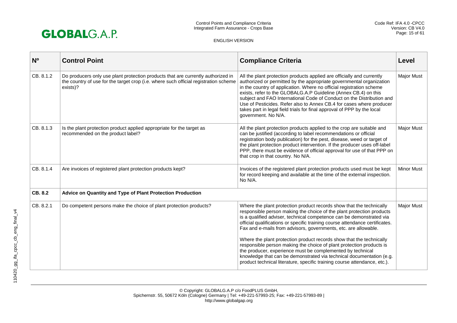

| N <sup>o</sup> | <b>Control Point</b>                                                                                                                                                                 | <b>Compliance Criteria</b>                                                                                                                                                                                                                                                                                                                                                                                                                                                                                                                                                                                                                                                                                                                  | Level             |
|----------------|--------------------------------------------------------------------------------------------------------------------------------------------------------------------------------------|---------------------------------------------------------------------------------------------------------------------------------------------------------------------------------------------------------------------------------------------------------------------------------------------------------------------------------------------------------------------------------------------------------------------------------------------------------------------------------------------------------------------------------------------------------------------------------------------------------------------------------------------------------------------------------------------------------------------------------------------|-------------------|
| CB. 8.1.2      | Do producers only use plant protection products that are currently authorized in<br>the country of use for the target crop (i.e. where such official registration scheme<br>exists)? | All the plant protection products applied are officially and currently<br>authorized or permitted by the appropriate governmental organization<br>in the country of application. Where no official registration scheme<br>exists, refer to the GLOBALG.A.P Guideline (Annex CB.4) on this<br>subject and FAO International Code of Conduct on the Distribution and<br>Use of Pesticides. Refer also to Annex CB.4 for cases where producer<br>takes part in legal field trials for final approval of PPP by the local<br>government. No N/A.                                                                                                                                                                                                | <b>Major Must</b> |
| CB. 8.1.3      | Is the plant protection product applied appropriate for the target as<br>recommended on the product label?                                                                           | All the plant protection products applied to the crop are suitable and<br>can be justified (according to label recommendations or official<br>registration body publication) for the pest, disease, weed or target of<br>the plant protection product intervention. If the producer uses off-label<br>PPP, there must be evidence of official approval for use of that PPP on<br>that crop in that country. No N/A.                                                                                                                                                                                                                                                                                                                         | Major Must        |
| CB. 8.1.4      | Are invoices of registered plant protection products kept?                                                                                                                           | Invoices of the registered plant protection products used must be kept<br>for record keeping and available at the time of the external inspection.<br>No N/A.                                                                                                                                                                                                                                                                                                                                                                                                                                                                                                                                                                               | <b>Minor Must</b> |
| CB. 8.2        | Advice on Quantity and Type of Plant Protection Production                                                                                                                           |                                                                                                                                                                                                                                                                                                                                                                                                                                                                                                                                                                                                                                                                                                                                             |                   |
| CB. 8.2.1      | Do competent persons make the choice of plant protection products?                                                                                                                   | Where the plant protection product records show that the technically<br>responsible person making the choice of the plant protection products<br>is a qualified adviser, technical competence can be demonstrated via<br>official qualifications or specific training course attendance certificates.<br>Fax and e-mails from advisors, governments, etc. are allowable.<br>Where the plant protection product records show that the technically<br>responsible person making the choice of plant protection products is<br>the producer, experience must be complemented by technical<br>knowledge that can be demonstrated via technical documentation (e.g.<br>product technical literature, specific training course attendance, etc.). | Major Must        |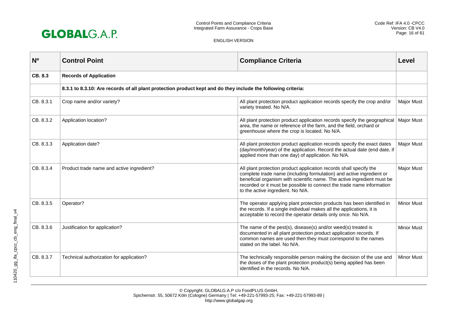

| N <sub>0</sub> | <b>Control Point</b>                                                                                          | <b>Compliance Criteria</b>                                                                                                                                                                                                                                                                                                          | Level             |
|----------------|---------------------------------------------------------------------------------------------------------------|-------------------------------------------------------------------------------------------------------------------------------------------------------------------------------------------------------------------------------------------------------------------------------------------------------------------------------------|-------------------|
| CB, 8.3        | <b>Records of Application</b>                                                                                 |                                                                                                                                                                                                                                                                                                                                     |                   |
|                | 8.3.1 to 8.3.10: Are records of all plant protection product kept and do they include the following criteria: |                                                                                                                                                                                                                                                                                                                                     |                   |
| CB. 8.3.1      | Crop name and/or variety?                                                                                     | All plant protection product application records specify the crop and/or<br>variety treated. No N/A.                                                                                                                                                                                                                                | <b>Major Must</b> |
| CB. 8.3.2      | Application location?                                                                                         | All plant protection product application records specify the geographical<br>area, the name or reference of the farm, and the field, orchard or<br>greenhouse where the crop is located. No N/A.                                                                                                                                    | <b>Major Must</b> |
| CB. 8.3.3      | Application date?                                                                                             | All plant protection product application records specify the exact dates<br>(day/month/year) of the application. Record the actual date (end date, if<br>applied more than one day) of application. No N/A.                                                                                                                         | <b>Major Must</b> |
| CB. 8.3.4      | Product trade name and active ingredient?                                                                     | All plant protection product application records shall specify the<br>complete trade name (including formulation) and active ingredient or<br>beneficial organism with scientific name. The active ingredient must be<br>recorded or it must be possible to connect the trade name information<br>to the active ingredient. No N/A. | Major Must        |
| CB. 8.3.5      | Operator?                                                                                                     | The operator applying plant protection products has been identified in<br>the records. If a single individual makes all the applications, it is<br>acceptable to record the operator details only once. No N/A.                                                                                                                     | <b>Minor Must</b> |
| CB. 8.3.6      | Justification for application?                                                                                | The name of the pest(s), disease(s) and/or weed(s) treated is<br>documented in all plant protection product application records. If<br>common names are used then they must correspond to the names<br>stated on the label. No N/A.                                                                                                 | <b>Minor Must</b> |
| CB. 8.3.7      | Technical authorization for application?                                                                      | The technically responsible person making the decision of the use and<br>the doses of the plant protection product(s) being applied has been<br>identified in the records. No N/A.                                                                                                                                                  | <b>Minor Must</b> |

110420\_gg\_ifa\_cpcc\_cb\_eng\_final\_v4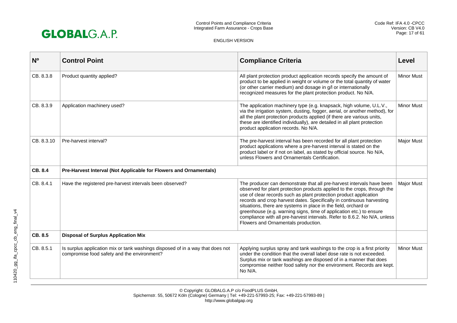

| N <sub>0</sub> | <b>Control Point</b>                                                                                                          | <b>Compliance Criteria</b>                                                                                                                                                                                                                                                                                                                                                                                                                                                                                                                                    | Level             |
|----------------|-------------------------------------------------------------------------------------------------------------------------------|---------------------------------------------------------------------------------------------------------------------------------------------------------------------------------------------------------------------------------------------------------------------------------------------------------------------------------------------------------------------------------------------------------------------------------------------------------------------------------------------------------------------------------------------------------------|-------------------|
| CB. 8.3.8      | Product quantity applied?                                                                                                     | All plant protection product application records specify the amount of<br>product to be applied in weight or volume or the total quantity of water<br>(or other carrier medium) and dosage in g/l or internationally<br>recognized measures for the plant protection product. No N/A.                                                                                                                                                                                                                                                                         | <b>Minor Must</b> |
| CB. 8.3.9      | Application machinery used?                                                                                                   | The application machinery type (e.g. knapsack, high volume, U.L.V.,<br>via the irrigation system, dusting, fogger, aerial, or another method), for<br>all the plant protection products applied (if there are various units,<br>these are identified individually), are detailed in all plant protection<br>product application records. No N/A.                                                                                                                                                                                                              | <b>Minor Must</b> |
| CB. 8.3.10     | Pre-harvest interval?                                                                                                         | The pre-harvest interval has been recorded for all plant protection<br>product applications where a pre-harvest interval is stated on the<br>product label or if not on label, as stated by official source. No N/A,<br>unless Flowers and Ornamentals Certification.                                                                                                                                                                                                                                                                                         | Major Must        |
| CB. 8.4        | Pre-Harvest Interval (Not Applicable for Flowers and Ornamentals)                                                             |                                                                                                                                                                                                                                                                                                                                                                                                                                                                                                                                                               |                   |
| CB. 8.4.1      | Have the registered pre-harvest intervals been observed?                                                                      | The producer can demonstrate that all pre-harvest intervals have been<br>observed for plant protection products applied to the crops, through the<br>use of clear records such as plant protection product application<br>records and crop harvest dates. Specifically in continuous harvesting<br>situations, there are systems in place in the field, orchard or<br>greenhouse (e.g. warning signs, time of application etc.) to ensure<br>compliance with all pre-harvest intervals. Refer to 8.6.2. No N/A, unless<br>Flowers and Ornamentals production. | Major Must        |
| CB. 8.5        | <b>Disposal of Surplus Application Mix</b>                                                                                    |                                                                                                                                                                                                                                                                                                                                                                                                                                                                                                                                                               |                   |
| CB. 8.5.1      | Is surplus application mix or tank washings disposed of in a way that does not<br>compromise food safety and the environment? | Applying surplus spray and tank washings to the crop is a first priority<br>under the condition that the overall label dose rate is not exceeded.<br>Surplus mix or tank washings are disposed of in a manner that does<br>compromise neither food safety nor the environment. Records are kept.<br>No N/A.                                                                                                                                                                                                                                                   | <b>Minor Must</b> |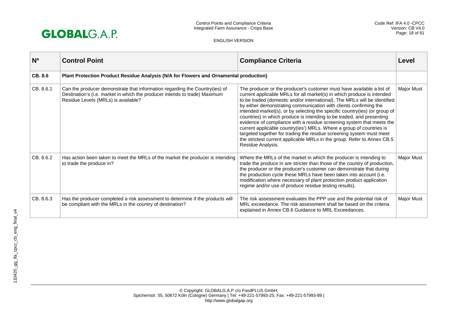

| N <sup>o</sup> | <b>Control Point</b>                                                                                                                                                                             | <b>Compliance Criteria</b>                                                                                                                                                                                                                                                                                                                                                                                                                                                                                                                                                                                                                                                                                                                                                        | Level      |
|----------------|--------------------------------------------------------------------------------------------------------------------------------------------------------------------------------------------------|-----------------------------------------------------------------------------------------------------------------------------------------------------------------------------------------------------------------------------------------------------------------------------------------------------------------------------------------------------------------------------------------------------------------------------------------------------------------------------------------------------------------------------------------------------------------------------------------------------------------------------------------------------------------------------------------------------------------------------------------------------------------------------------|------------|
| <b>CB. 8.6</b> | Plant Protection Product Residue Analysis (N/A for Flowers and Ornamental production)                                                                                                            |                                                                                                                                                                                                                                                                                                                                                                                                                                                                                                                                                                                                                                                                                                                                                                                   |            |
| CB. 8.6.1      | Can the producer demonstrate that information regarding the Country(ies) of<br>Destination's (i.e. market in which the producer intends to trade) Maximum<br>Residue Levels (MRLs) is available? | The producer or the producer's customer must have available a list of<br>current applicable MRLs for all market(s) in which produce is intended<br>to be traded (domestic and/or international). The MRLs will be identified<br>by either demonstrating communication with clients confirming the<br>intended market(s), or by selecting the specific country(ies) (or group of<br>countries) in which produce is intending to be traded, and presenting<br>evidence of compliance with a residue screening system that meets the<br>current applicable country(ies') MRLs. Where a group of countries is<br>targeted together for trading the residue screening system must meet<br>the strictest current applicable MRLs in the group. Refer to Annex CB.5<br>Residue Analysis. | Major Must |
| CB. 8.6.2      | Has action been taken to meet the MRLs of the market the producer is intending<br>to trade the produce in?                                                                                       | Where the MRLs of the market in which the producer is intending to<br>trade the produce in are stricter than those of the country of production,<br>the producer or the producer's customer can demonstrate that during<br>the production cycle these MRLs have been taken into account (i.e.<br>modification where necessary of plant protection product application<br>regime and/or use of produce residue testing results).                                                                                                                                                                                                                                                                                                                                                   | Major Must |
| CB. 8.6.3      | Has the producer completed a risk assessment to determine if the products will<br>be compliant with the MRLs in the country of destination?                                                      | The risk assessment evaluates the PPP use and the potential risk of<br>MRL exceedance. The risk assessment shall be based on the criteria<br>explained in Annex CB.6 Guidance to MRL Exceedances.                                                                                                                                                                                                                                                                                                                                                                                                                                                                                                                                                                                 | Major Must |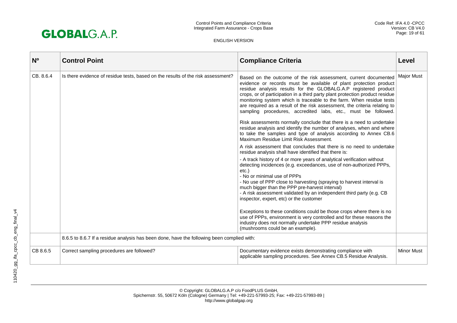

| N <sub>0</sub> | <b>Control Point</b>                                                                       | <b>Compliance Criteria</b>                                                                                                                                                                                                                                                                                                                                                                                                                                                                                                                                                                                                                                                                                                                                                                                                                                                                                                                                                                                                                                                                                                                                                                                                                                                                                                                                                                                                                                                                                                                                           | Level             |
|----------------|--------------------------------------------------------------------------------------------|----------------------------------------------------------------------------------------------------------------------------------------------------------------------------------------------------------------------------------------------------------------------------------------------------------------------------------------------------------------------------------------------------------------------------------------------------------------------------------------------------------------------------------------------------------------------------------------------------------------------------------------------------------------------------------------------------------------------------------------------------------------------------------------------------------------------------------------------------------------------------------------------------------------------------------------------------------------------------------------------------------------------------------------------------------------------------------------------------------------------------------------------------------------------------------------------------------------------------------------------------------------------------------------------------------------------------------------------------------------------------------------------------------------------------------------------------------------------------------------------------------------------------------------------------------------------|-------------------|
| CB. 8.6.4      | Is there evidence of residue tests, based on the results of the risk assessment?           | Based on the outcome of the risk assessment, current documented<br>evidence or records must be available of plant protection product<br>residue analysis results for the GLOBALG.A.P registered product<br>crops, or of participation in a third party plant protection product residue<br>monitoring system which is traceable to the farm. When residue tests<br>are required as a result of the risk assessment, the criteria relating to<br>sampling procedures, accredited labs, etc., must be followed.<br>Risk assessments normally conclude that there is a need to undertake<br>residue analysis and identify the number of analyses, when and where<br>to take the samples and type of analysis according to Annex CB.6<br>Maximum Residue Limit Risk Assessment.<br>A risk assessment that concludes that there is no need to undertake<br>residue analysis shall have identified that there is:<br>- A track history of 4 or more years of analytical verification without<br>detecting incidences (e.g. exceedances, use of non-authorized PPPs,<br>$etc.$ )<br>- No or minimal use of PPPs<br>- No use of PPP close to harvesting (spraying to harvest interval is<br>much bigger than the PPP pre-harvest interval)<br>- A risk assessment validated by an independent third party (e.g. CB<br>inspector, expert, etc) or the customer<br>Exceptions to these conditions could be those crops where there is no<br>use of PPPs, environment is very controlled and for these reasons the<br>industry does not normally undertake PPP residue analysis | <b>Major Must</b> |
|                |                                                                                            | (mushrooms could be an example).                                                                                                                                                                                                                                                                                                                                                                                                                                                                                                                                                                                                                                                                                                                                                                                                                                                                                                                                                                                                                                                                                                                                                                                                                                                                                                                                                                                                                                                                                                                                     |                   |
|                | 8.6.5 to 8.6.7 If a residue analysis has been done, have the following been complied with: |                                                                                                                                                                                                                                                                                                                                                                                                                                                                                                                                                                                                                                                                                                                                                                                                                                                                                                                                                                                                                                                                                                                                                                                                                                                                                                                                                                                                                                                                                                                                                                      |                   |
| CB 8.6.5       | Correct sampling procedures are followed?                                                  | Documentary evidence exists demonstrating compliance with<br>applicable sampling procedures. See Annex CB.5 Residue Analysis.                                                                                                                                                                                                                                                                                                                                                                                                                                                                                                                                                                                                                                                                                                                                                                                                                                                                                                                                                                                                                                                                                                                                                                                                                                                                                                                                                                                                                                        | <b>Minor Must</b> |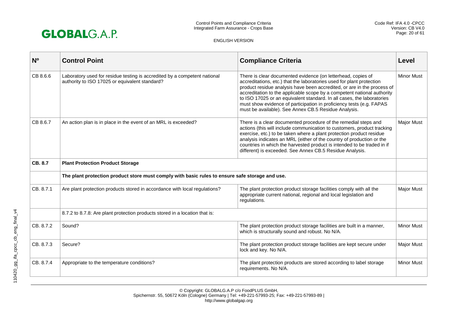

| N <sub>0</sub> | <b>Control Point</b>                                                                                                        | <b>Compliance Criteria</b>                                                                                                                                                                                                                                                                                                                                                                                                                                                                            | Level             |
|----------------|-----------------------------------------------------------------------------------------------------------------------------|-------------------------------------------------------------------------------------------------------------------------------------------------------------------------------------------------------------------------------------------------------------------------------------------------------------------------------------------------------------------------------------------------------------------------------------------------------------------------------------------------------|-------------------|
| CB 8.6.6       | Laboratory used for residue testing is accredited by a competent national<br>authority to ISO 17025 or equivalent standard? | There is clear documented evidence (on letterhead, copies of<br>accreditations, etc.) that the laboratories used for plant protection<br>product residue analysis have been accredited, or are in the process of<br>accreditation to the applicable scope by a competent national authority<br>to ISO 17025 or an equivalent standard. In all cases, the laboratories<br>must show evidence of participation in proficiency tests (e.g. FAPAS<br>must be available). See Annex CB.5 Residue Analysis. | <b>Minor Must</b> |
| CB 8.6.7       | An action plan is in place in the event of an MRL is exceeded?                                                              | There is a clear documented procedure of the remedial steps and<br>actions (this will include communication to customers, product tracking<br>exercise, etc.) to be taken where a plant protection product residue<br>analysis indicates an MRL (either of the country of production or the<br>countries in which the harvested product is intended to be traded in if<br>different) is exceeded. See Annex CB.5 Residue Analysis.                                                                    | <b>Major Must</b> |
| CB. 8.7        | <b>Plant Protection Product Storage</b>                                                                                     |                                                                                                                                                                                                                                                                                                                                                                                                                                                                                                       |                   |
|                | The plant protection product store must comply with basic rules to ensure safe storage and use.                             |                                                                                                                                                                                                                                                                                                                                                                                                                                                                                                       |                   |
| CB. 8.7.1      | Are plant protection products stored in accordance with local regulations?                                                  | The plant protection product storage facilities comply with all the<br>appropriate current national, regional and local legislation and<br>regulations.                                                                                                                                                                                                                                                                                                                                               | <b>Major Must</b> |
|                | 8.7.2 to 8.7.8: Are plant protection products stored in a location that is:                                                 |                                                                                                                                                                                                                                                                                                                                                                                                                                                                                                       |                   |
| CB. 8.7.2      | Sound?                                                                                                                      | The plant protection product storage facilities are built in a manner,<br>which is structurally sound and robust. No N/A.                                                                                                                                                                                                                                                                                                                                                                             | <b>Minor Must</b> |
| CB. 8.7.3      | Secure?                                                                                                                     | The plant protection product storage facilities are kept secure under<br>lock and key. No N/A.                                                                                                                                                                                                                                                                                                                                                                                                        | Major Must        |
| CB. 8.7.4      | Appropriate to the temperature conditions?                                                                                  | The plant protection products are stored according to label storage<br>requirements. No N/A.                                                                                                                                                                                                                                                                                                                                                                                                          | <b>Minor Must</b> |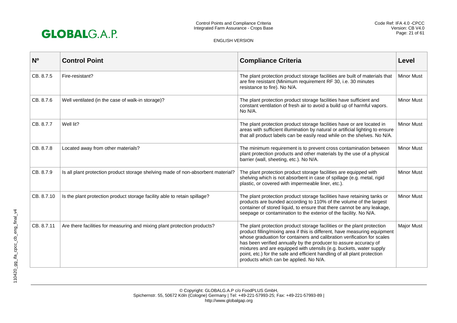

| N <sub>o</sub> | <b>Control Point</b>                                                             | <b>Compliance Criteria</b>                                                                                                                                                                                                                                                                                                                                                                                                                                                                        | Level             |
|----------------|----------------------------------------------------------------------------------|---------------------------------------------------------------------------------------------------------------------------------------------------------------------------------------------------------------------------------------------------------------------------------------------------------------------------------------------------------------------------------------------------------------------------------------------------------------------------------------------------|-------------------|
| CB, 8.7.5      | Fire-resistant?                                                                  | The plant protection product storage facilities are built of materials that<br>are fire resistant (Minimum requirement RF 30, i.e. 30 minutes<br>resistance to fire). No N/A.                                                                                                                                                                                                                                                                                                                     | <b>Minor Must</b> |
| CB. 8.7.6      | Well ventilated (in the case of walk-in storage)?                                | The plant protection product storage facilities have sufficient and<br>constant ventilation of fresh air to avoid a build up of harmful vapors.<br>No N/A.                                                                                                                                                                                                                                                                                                                                        | <b>Minor Must</b> |
| CB. 8.7.7      | Well lit?                                                                        | The plant protection product storage facilities have or are located in<br>areas with sufficient illumination by natural or artificial lighting to ensure<br>that all product labels can be easily read while on the shelves. No N/A.                                                                                                                                                                                                                                                              | Minor Must        |
| CB. 8.7.8      | Located away from other materials?                                               | The minimum requirement is to prevent cross contamination between<br>plant protection products and other materials by the use of a physical<br>barrier (wall, sheeting, etc.). No N/A.                                                                                                                                                                                                                                                                                                            | Minor Must        |
| CB. 8.7.9      | Is all plant protection product storage shelving made of non-absorbent material? | The plant protection product storage facilities are equipped with<br>shelving which is not absorbent in case of spillage (e.g. metal, rigid<br>plastic, or covered with impermeable liner, etc.).                                                                                                                                                                                                                                                                                                 | <b>Minor Must</b> |
| CB. 8.7.10     | Is the plant protection product storage facility able to retain spillage?        | The plant protection product storage facilities have retaining tanks or<br>products are bunded according to 110% of the volume of the largest<br>container of stored liquid, to ensure that there cannot be any leakage,<br>seepage or contamination to the exterior of the facility. No N/A.                                                                                                                                                                                                     | <b>Minor Must</b> |
| CB. 8.7.11     | Are there facilities for measuring and mixing plant protection products?         | The plant protection product storage facilities or the plant protection<br>product filling/mixing area if this is different, have measuring equipment<br>whose graduation for containers and calibration verification for scales<br>has been verified annually by the producer to assure accuracy of<br>mixtures and are equipped with utensils (e.g. buckets, water supply<br>point, etc.) for the safe and efficient handling of all plant protection<br>products which can be applied. No N/A. | Major Must        |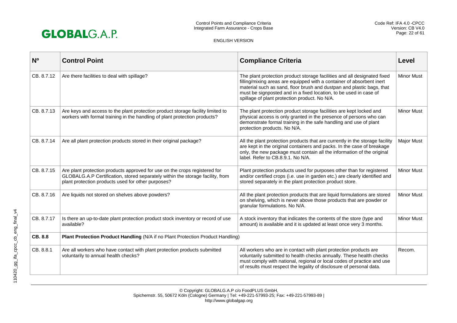

| N <sub>0</sub> | <b>Control Point</b>                                                                                                                                                                                               | <b>Compliance Criteria</b>                                                                                                                                                                                                                                                                                                                       | Level             |
|----------------|--------------------------------------------------------------------------------------------------------------------------------------------------------------------------------------------------------------------|--------------------------------------------------------------------------------------------------------------------------------------------------------------------------------------------------------------------------------------------------------------------------------------------------------------------------------------------------|-------------------|
| CB. 8.7.12     | Are there facilities to deal with spillage?                                                                                                                                                                        | The plant protection product storage facilities and all designated fixed<br>filling/mixing areas are equipped with a container of absorbent inert<br>material such as sand, floor brush and dustpan and plastic bags, that<br>must be signposted and in a fixed location, to be used in case of<br>spillage of plant protection product. No N/A. | <b>Minor Must</b> |
| CB. 8.7.13     | Are keys and access to the plant protection product storage facility limited to<br>workers with formal training in the handling of plant protection products?                                                      | The plant protection product storage facilities are kept locked and<br>physical access is only granted in the presence of persons who can<br>demonstrate formal training in the safe handling and use of plant<br>protection products. No N/A.                                                                                                   | <b>Minor Must</b> |
| CB. 8.7.14     | Are all plant protection products stored in their original package?                                                                                                                                                | All the plant protection products that are currently in the storage facility<br>are kept in the original containers and packs. In the case of breakage<br>only, the new package must contain all the information of the original<br>label. Refer to CB.8.9.1. No N/A.                                                                            | Major Must        |
| CB. 8.7.15     | Are plant protection products approved for use on the crops registered for<br>GLOBALG.A.P Certification, stored separately within the storage facility, from<br>plant protection products used for other purposes? | Plant protection products used for purposes other than for registered<br>and/or certified crops (i.e. use in garden etc.) are clearly identified and<br>stored separately in the plant protection product store.                                                                                                                                 | <b>Minor Must</b> |
| CB. 8.7.16     | Are liquids not stored on shelves above powders?                                                                                                                                                                   | All the plant protection products that are liquid formulations are stored<br>on shelving, which is never above those products that are powder or<br>granular formulations. No N/A.                                                                                                                                                               | <b>Minor Must</b> |
| CB. 8.7.17     | Is there an up-to-date plant protection product stock inventory or record of use<br>available?                                                                                                                     | A stock inventory that indicates the contents of the store (type and<br>amount) is available and it is updated at least once very 3 months.                                                                                                                                                                                                      | <b>Minor Must</b> |
| CB, 8.8        | Plant Protection Product Handling (N/A if no Plant Protection Product Handling)                                                                                                                                    |                                                                                                                                                                                                                                                                                                                                                  |                   |
| CB. 8.8.1      | Are all workers who have contact with plant protection products submitted<br>voluntarily to annual health checks?                                                                                                  | All workers who are in contact with plant protection products are<br>voluntarily submitted to health checks annually. These health checks<br>must comply with national, regional or local codes of practice and use<br>of results must respect the legality of disclosure of personal data.                                                      | Recom.            |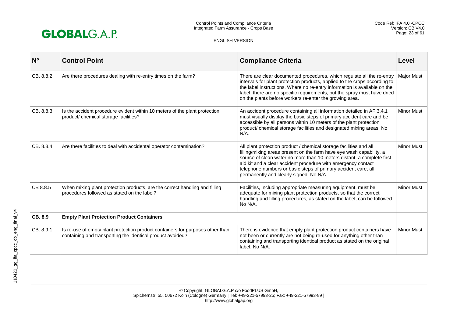

| N <sub>0</sub> | <b>Control Point</b>                                                                                                                         | <b>Compliance Criteria</b>                                                                                                                                                                                                                                                                                                                                                                         | Level             |
|----------------|----------------------------------------------------------------------------------------------------------------------------------------------|----------------------------------------------------------------------------------------------------------------------------------------------------------------------------------------------------------------------------------------------------------------------------------------------------------------------------------------------------------------------------------------------------|-------------------|
| CB. 8.8.2      | Are there procedures dealing with re-entry times on the farm?                                                                                | There are clear documented procedures, which regulate all the re-entry<br>intervals for plant protection products, applied to the crops according to<br>the label instructions. Where no re-entry information is available on the<br>label, there are no specific requirements, but the spray must have dried<br>on the plants before workers re-enter the growing area.                           | <b>Major Must</b> |
| CB. 8.8.3      | Is the accident procedure evident within 10 meters of the plant protection<br>product/ chemical storage facilities?                          | An accident procedure containing all information detailed in AF.3.4.1<br>must visually display the basic steps of primary accident care and be<br>accessible by all persons within 10 meters of the plant protection<br>product/ chemical storage facilities and designated mixing areas. No<br>$N/A$ .                                                                                            | <b>Minor Must</b> |
| CB. 8.8.4      | Are there facilities to deal with accidental operator contamination?                                                                         | All plant protection product / chemical storage facilities and all<br>filling/mixing areas present on the farm have eye wash capability, a<br>source of clean water no more than 10 meters distant, a complete first<br>aid kit and a clear accident procedure with emergency contact<br>telephone numbers or basic steps of primary accident care, all<br>permanently and clearly signed. No N/A. | <b>Minor Must</b> |
| CB 8.8.5       | When mixing plant protection products, are the correct handling and filling<br>procedures followed as stated on the label?                   | Facilities, including appropriate measuring equipment, must be<br>adequate for mixing plant protection products, so that the correct<br>handling and filling procedures, as stated on the label, can be followed.<br>No N/A.                                                                                                                                                                       | <b>Minor Must</b> |
| CB. 8.9        | <b>Empty Plant Protection Product Containers</b>                                                                                             |                                                                                                                                                                                                                                                                                                                                                                                                    |                   |
| CB. 8.9.1      | Is re-use of empty plant protection product containers for purposes other than<br>containing and transporting the identical product avoided? | There is evidence that empty plant protection product containers have<br>not been or currently are not being re-used for anything other than<br>containing and transporting identical product as stated on the original<br>label. No N/A.                                                                                                                                                          | <b>Minor Must</b> |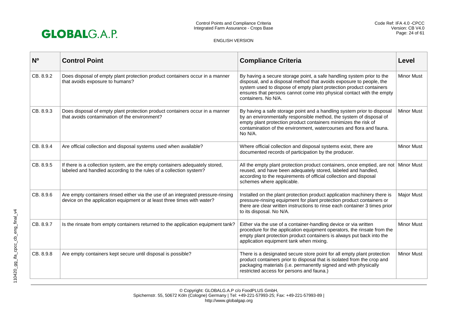

| N <sub>0</sub> | <b>Control Point</b>                                                                                                                                        | <b>Compliance Criteria</b>                                                                                                                                                                                                                                                                                          | Level             |
|----------------|-------------------------------------------------------------------------------------------------------------------------------------------------------------|---------------------------------------------------------------------------------------------------------------------------------------------------------------------------------------------------------------------------------------------------------------------------------------------------------------------|-------------------|
| CB. 8.9.2      | Does disposal of empty plant protection product containers occur in a manner<br>that avoids exposure to humans?                                             | By having a secure storage point, a safe handling system prior to the<br>disposal, and a disposal method that avoids exposure to people, the<br>system used to dispose of empty plant protection product containers<br>ensures that persons cannot come into physical contact with the empty<br>containers. No N/A. | <b>Minor Must</b> |
| CB. 8.9.3      | Does disposal of empty plant protection product containers occur in a manner<br>that avoids contamination of the environment?                               | By having a safe storage point and a handling system prior to disposal<br>by an environmentally responsible method, the system of disposal of<br>empty plant protection product containers minimizes the risk of<br>contamination of the environment, watercourses and flora and fauna.<br>No N/A.                  | <b>Minor Must</b> |
| CB. 8.9.4      | Are official collection and disposal systems used when available?                                                                                           | Where official collection and disposal systems exist, there are<br>documented records of participation by the producer.                                                                                                                                                                                             | <b>Minor Must</b> |
| CB. 8.9.5      | If there is a collection system, are the empty containers adequately stored,<br>labeled and handled according to the rules of a collection system?          | All the empty plant protection product containers, once emptied, are not<br>reused, and have been adequately stored, labeled and handled,<br>according to the requirements of official collection and disposal<br>schemes where applicable.                                                                         | <b>Minor Must</b> |
| CB. 8.9.6      | Are empty containers rinsed either via the use of an integrated pressure-rinsing<br>device on the application equipment or at least three times with water? | Installed on the plant protection product application machinery there is<br>pressure-rinsing equipment for plant protection product containers or<br>there are clear written instructions to rinse each container 3 times prior<br>to its disposal. No N/A.                                                         | <b>Major Must</b> |
| CB. 8.9.7      | Is the rinsate from empty containers returned to the application equipment tank?                                                                            | Either via the use of a container-handling device or via written<br>procedure for the application equipment operators, the rinsate from the<br>empty plant protection product containers is always put back into the<br>application equipment tank when mixing.                                                     | <b>Minor Must</b> |
| CB. 8.9.8      | Are empty containers kept secure until disposal is possible?                                                                                                | There is a designated secure store point for all empty plant protection<br>product containers prior to disposal that is isolated from the crop and<br>packaging materials (i.e. permanently signed and with physically<br>restricted access for persons and fauna.)                                                 | <b>Minor Must</b> |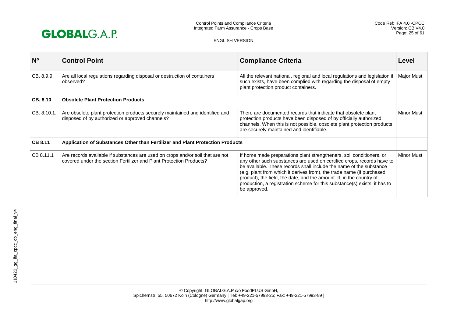

| N <sub>0</sub> | <b>Control Point</b>                                                                                                                                  | <b>Compliance Criteria</b>                                                                                                                                                                                                                                                                                                                                                                                                                                          | Level             |
|----------------|-------------------------------------------------------------------------------------------------------------------------------------------------------|---------------------------------------------------------------------------------------------------------------------------------------------------------------------------------------------------------------------------------------------------------------------------------------------------------------------------------------------------------------------------------------------------------------------------------------------------------------------|-------------------|
| CB, 8.9.9      | Are all local regulations regarding disposal or destruction of containers<br>observed?                                                                | All the relevant national, regional and local regulations and legislation if<br>such exists, have been complied with regarding the disposal of empty<br>plant protection product containers.                                                                                                                                                                                                                                                                        | <b>Major Must</b> |
| CB, 8.10       | <b>Obsolete Plant Protection Products</b>                                                                                                             |                                                                                                                                                                                                                                                                                                                                                                                                                                                                     |                   |
| CB. 8.10.1.    | Are obsolete plant protection products securely maintained and identified and<br>disposed of by authorized or approved channels?                      | There are documented records that indicate that obsolete plant<br>protection products have been disposed of by officially authorized<br>channels. When this is not possible, obsolete plant protection products<br>are securely maintained and identifiable.                                                                                                                                                                                                        | <b>Minor Must</b> |
| <b>CB 8.11</b> | Application of Substances Other than Fertilizer and Plant Protection Products                                                                         |                                                                                                                                                                                                                                                                                                                                                                                                                                                                     |                   |
| CB 8.11.1      | Are records available if substances are used on crops and/or soil that are not<br>covered under the section Fertilizer and Plant Protection Products? | If home made preparations plant strengtheners, soil conditioners, or<br>any other such substances are used on certified crops, records have to<br>be available. These records shall include the name of the substance<br>(e.g. plant from which it derives from), the trade name (if purchased<br>product), the field, the date, and the amount. If, in the country of<br>production, a registration scheme for this substance(s) exists, it has to<br>be approved. | Minor Must        |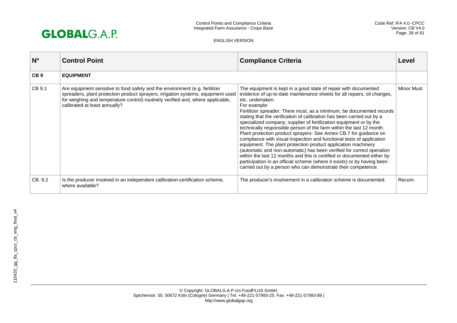

| N <sub>o</sub>  | <b>Control Point</b>                                                                                                                                                                                                                                                                | <b>Compliance Criteria</b>                                                                                                                                                                                                                                                                                                                                                                                                                                                                                                                                                                                                                                                                                                                                                                                                                                                                                                                                                                    | Level             |
|-----------------|-------------------------------------------------------------------------------------------------------------------------------------------------------------------------------------------------------------------------------------------------------------------------------------|-----------------------------------------------------------------------------------------------------------------------------------------------------------------------------------------------------------------------------------------------------------------------------------------------------------------------------------------------------------------------------------------------------------------------------------------------------------------------------------------------------------------------------------------------------------------------------------------------------------------------------------------------------------------------------------------------------------------------------------------------------------------------------------------------------------------------------------------------------------------------------------------------------------------------------------------------------------------------------------------------|-------------------|
| CB <sub>9</sub> | <b>EQUIPMENT</b>                                                                                                                                                                                                                                                                    |                                                                                                                                                                                                                                                                                                                                                                                                                                                                                                                                                                                                                                                                                                                                                                                                                                                                                                                                                                                               |                   |
| CB 9.1          | Are equipment sensitive to food safety and the environment (e.g. fertilizer<br>spreaders, plant protection product sprayers, irrigation systems, equipment used<br>for weighing and temperature control) routinely verified and, where applicable,<br>calibrated at least annually? | The equipment is kept in a good state of repair with documented<br>evidence of up-to-date maintenance sheets for all repairs, oil changes,<br>etc. undertaken.<br>For example:<br>Fertilizer spreader: There must, as a minimum, be documented records<br>stating that the verification of calibration has been carried out by a<br>specialized company, supplier of fertilization equipment or by the<br>technically responsible person of the farm within the last 12 month.<br>Plant protection product sprayers: See Annex CB.7 for guidance on<br>compliance with visual inspection and functional tests of application<br>equipment. The plant protection product application machinery<br>(automatic and non-automatic) has been verified for correct operation<br>within the last 12 months and this is certified or documented either by<br>participation in an official scheme (where it exists) or by having been<br>carried out by a person who can demonstrate their competence. | <b>Minor Must</b> |
| CB. 9.2         | Is the producer involved in an independent calibration-certification scheme,<br>where available?                                                                                                                                                                                    | The producer's involvement in a calibration scheme is documented.                                                                                                                                                                                                                                                                                                                                                                                                                                                                                                                                                                                                                                                                                                                                                                                                                                                                                                                             | Recom.            |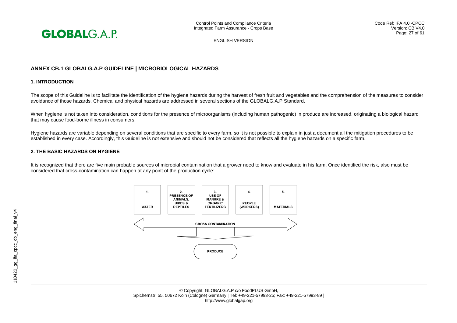

# **ANNEX CB.1 GLOBALG.A.P GUIDELINE | MICROBIOLOGICAL HAZARDS**

# **1. INTRODUCTION**

The scope of this Guideline is to facilitate the identification of the hygiene hazards during the harvest of fresh fruit and vegetables and the comprehension of the measures to consider avoidance of those hazards. Chemical and physical hazards are addressed in several sections of the GLOBALG.A.P Standard.

When hygiene is not taken into consideration, conditions for the presence of microorganisms (including human pathogenic) in produce are increased, originating a biological hazard that may cause food-borne illness in consumers.

Hygiene hazards are variable depending on several conditions that are specific to every farm, so it is not possible to explain in just a document all the mitigation procedures to be established in every case. Accordingly, this Guideline is not extensive and should not be considered that reflects all the hygiene hazards on a specific farm.

# **2. THE BASIC HAZARDS ON HYGIENE**

It is recognized that there are five main probable sources of microbial contamination that a grower need to know and evaluate in his farm. Once identified the risk, also must be considered that cross-contamination can happen at any point of the production cycle:

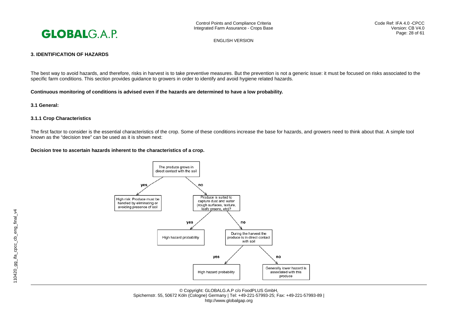

Code Ref: IFA 4.0 -CPCC Version: CB V4.0 Page: 28 of 61

ENGLISH VERSION

# **3. IDENTIFICATION OF HAZARDS**

The best way to avoid hazards, and therefore, risks in harvest is to take preventive measures. But the prevention is not a generic issue: it must be focused on risks associated to the specific farm conditions. This section provides guidance to growers in order to identify and avoid hygiene related hazards.

**Continuous monitoring of conditions is advised even if the hazards are determined to have a low probability.** 

**3.1 General:** 

# **3.1.1 Crop Characteristics**

The first factor to consider is the essential characteristics of the crop. Some of these conditions increase the base for hazards, and growers need to think about that. A simple tool known as the "decision tree" can be used as it is shown next:

#### **Decision tree to ascertain hazards inherent to the characteristics of a crop.**

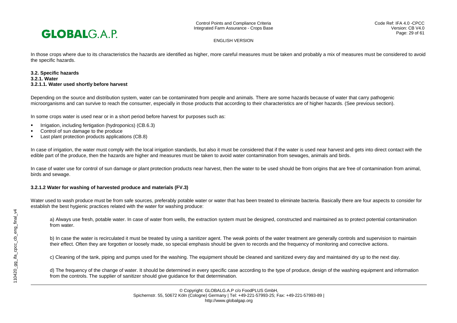

In those crops where due to its characteristics the hazards are identified as higher, more careful measures must be taken and probably a mix of measures must be considered to avoid the specific hazards.

#### **3.2. Specific hazards 3.2.1. Water 3.2.1.1. Water used shortly before harvest**

Depending on the source and distribution system, water can be contaminated from people and animals. There are some hazards because of water that carry pathogenic microorganisms and can survive to reach the consumer, especially in those products that according to their characteristics are of higher hazards. (See previous section).

In some crops water is used near or in a short period before harvest for purposes such as:

- Irrigation, including fertigation (hydroponics) (CB.6.3)
- Control of sun damage to the produce
- Last plant protection products applications (CB.8)

In case of irrigation, the water must comply with the local irrigation standards, but also it must be considered that if the water is used near harvest and gets into direct contact with the edible part of the produce, then the hazards are higher and measures must be taken to avoid water contamination from sewages, animals and birds.

In case of water use for control of sun damage or plant protection products near harvest, then the water to be used should be from origins that are free of contamination from animal, birds and sewage.

#### **3.2.1.2 Water for washing of harvested produce and materials (FV.3)**

Water used to wash produce must be from safe sources, preferably potable water or water that has been treated to eliminate bacteria. Basically there are four aspects to consider for establish the best hygienic practices related with the water for washing produce:

a) Always use fresh, potable water. In case of water from wells, the extraction system must be designed, constructed and maintained as to protect potential contamination from water.

b) In case the water is recirculated it must be treated by using a sanitizer agent. The weak points of the water treatment are generally controls and supervision to maintain their effect. Often they are forgotten or loosely made, so special emphasis should be given to records and the frequency of monitoring and corrective actions.

c) Cleaning of the tank, piping and pumps used for the washing. The equipment should be cleaned and sanitized every day and maintained dry up to the next day.

d) The frequency of the change of water. It should be determined in every specific case according to the type of produce, design of the washing equipment and information from the controls. The supplier of sanitizer should give guidance for that determination.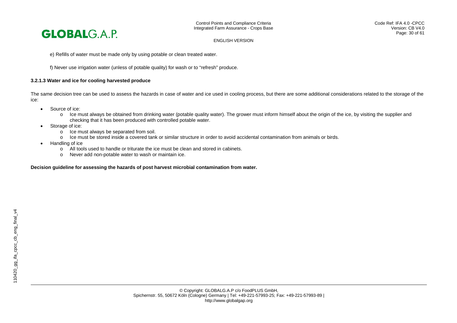

e) Refills of water must be made only by using potable or clean treated water.

f) Never use irrigation water (unless of potable quality) for wash or to "refresh" produce.

# **3.2.1.3 Water and ice for cooling harvested produce**

The same decision tree can be used to assess the hazards in case of water and ice used in cooling process, but there are some additional considerations related to the storage of the ice:

- Source of ice:
	- o Ice must always be obtained from drinking water (potable quality water). The grower must inform himself about the origin of the ice, by visiting the supplier and checking that it has been produced with controlled potable water.
- Storage of ice:
	- $\circ$  Ice must always be separated from soil.<br> $\circ$  Ice must be stored inside a covered tank
	- Ice must be stored inside a covered tank or similar structure in order to avoid accidental contamination from animals or birds.
- Handling of ice

110420\_gg\_ifa\_cpcc\_cb\_eng\_final\_v4

110420\_gg\_ifa\_cpcc\_cb\_eng\_final\_v4

- o All tools used to handle or triturate the ice must be clean and stored in cabinets.
- o Never add non-potable water to wash or maintain ice.

#### **Decision guideline for assessing the hazards of post harvest microbial contamination from water.**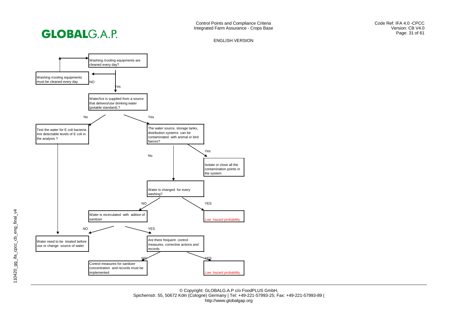



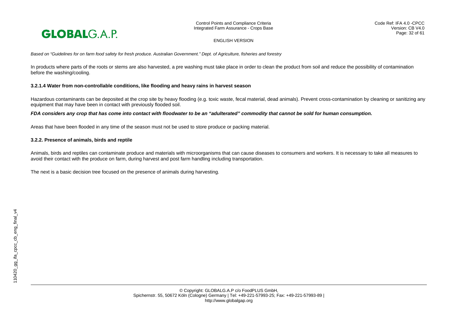

Control Points and Compliance Criteria Integrated Farm Assurance - Crops Base

ENGLISH VERSION

*Based on "Guidelines for on farm food safety for fresh produce. Australian Government." Dept. of Agriculture, fisheries and forestry*

In products where parts of the roots or stems are also harvested, a pre washing must take place in order to clean the product from soil and reduce the possibility of contamination before the washing/cooling.

#### **3.2.1.4 Water from non-controllable conditions, like flooding and heavy rains in harvest season**

Hazardous contaminants can be deposited at the crop site by heavy flooding (e.g. toxic waste, fecal material, dead animals). Prevent cross-contamination by cleaning or sanitizing any equipment that may have been in contact with previously flooded soil.

#### *FDA considers any crop that has come into contact with floodwater to be an "adulterated" commodity that cannot be sold for human consumption.*

Areas that have been flooded in any time of the season must not be used to store produce or packing material.

#### **3.2.2. Presence of animals, birds and reptile**

Animals, birds and reptiles can contaminate produce and materials with microorganisms that can cause diseases to consumers and workers. It is necessary to take all measures to avoid their contact with the produce on farm, during harvest and post farm handling including transportation.

The next is a basic decision tree focused on the presence of animals during harvesting.

110420\_gg\_ifa\_cpcc\_cb\_eng\_final\_v4

110420\_gg\_ifa\_cpcc\_cb\_eng\_final\_v4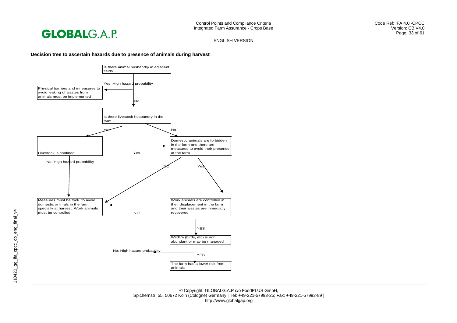**GLOBALG.A.P.** 

Control Points and Compliance Criteria Integrated Farm Assurance - Crops Base Code Ref: IFA 4.0 -CPCC Version: CB V4.0 Page: 33 of 61

ENGLISH VERSION

#### **Decision tree to ascertain hazards due to presence of animals during harvest**



© Copyright: GLOBALG.A.P c/o FoodPLUS GmbH, Spichernstr. 55, 50672 Köln (Cologne) Germany | Tel: +49-221-57993-25; Fax: +49-221-57993-89 | http://www.globalgap.org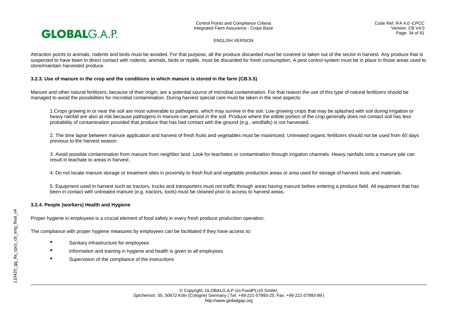

Attraction points to animals, rodents and birds must be avoided. For that purpose, all the produce discarded must be covered or taken out of the sector in harvest. Any produce that is suspected to have been in direct contact with rodents, animals, birds or reptile, must be discarded for fresh consumption. A pest control system must be in place in those areas used to store/maintain harvested produce.

#### **3.2.3. Use of manure in the crop and the conditions in which manure is stored in the farm (CB.5.5)**

Manure and other natural fertilizers, because of their origin, are a potential source of microbial contamination. For that reason the use of this type of natural fertilizers should be managed to avoid the possibilities for microbial contamination. During harvest special care must be taken in the next aspects:

1.Crops growing in or near the soil are most vulnerable to pathogens, which may survive in the soil. Low growing crops that may be splashed with soil during irrigation or heavy rainfall are also at risk because pathogens in manure can persist in the soil. Produce where the edible portion of the crop generally does not contact soil has less probability of contamination provided that produce that has had contact with the ground (e.g., windfalls) is not harvested.

2. The time lapse between manure application and harvest of fresh fruits and vegetables must be maximized. Untreated organic fertilizers should not be used from 60 days previous to the harvest season.

3. Avoid possible contamination from manure from neighbor land. Look for leachates or contamination through irrigation channels. Heavy rainfalls onto a manure pile can result in leachate to areas in harvest.

4. Do not locate manure storage or treatment sites in proximity to fresh fruit and vegetable production areas or area used for storage of harvest tools and materials.

5. Equipment used in harvest such as tractors, trucks and transporters must not traffic through areas having manure before entering a produce field. All equipment that has been in contact with untreated manure (e.g. tractors, tools) must be cleaned prior to access to harvest areas.

# **3.2.4. People (workers) Health and Hygiene**

Proper hygiene in employees is a crucial element of food safety in every fresh produce production operation.

The compliance with proper hygiene measures by employees can be facilitated if they have access to:

- Sanitary infrastructure for employees
- Information and training in hygiene and health is given to all employees
- Supervision of the compliance of the instructions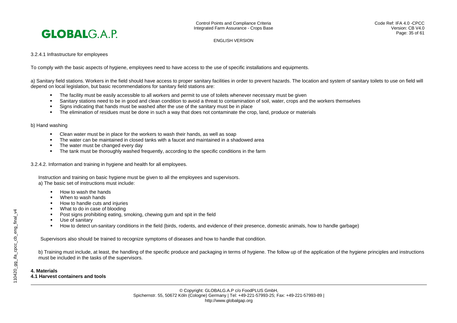

# 3.2.4.1 Infrastructure for employees

To comply with the basic aspects of hygiene, employees need to have access to the use of specific installations and equipments.

a) Sanitary field stations. Workers in the field should have access to proper sanitary facilities in order to prevent hazards. The location and system of sanitary toilets to use on field will depend on local legislation, but basic recommendations for sanitary field stations are:

- The facility must be easily accessible to all workers and permit to use of toilets whenever necessary must be given
- Sanitary stations need to be in good and clean condition to avoid a threat to contamination of soil, water, crops and the workers themselves
- Signs indicating that hands must be washed after the use of the sanitary must be in place
- The elimination of residues must be done in such a way that does not contaminate the crop, land, produce or materials

#### b) Hand washing

- Clean water must be in place for the workers to wash their hands, as well as soap
- The water can be maintained in closed tanks with a faucet and maintained in a shadowed area
- The water must be changed every day
- **The tank must be thoroughly washed frequently, according to the specific conditions in the farm**

3.2.4.2. Information and training in hygiene and health for all employees.

Instruction and training on basic hygiene must be given to all the employees and supervisors. a) The basic set of instructions must include:

- $H<sub>OW</sub>$  to wash the hands
- When to wash hands
- How to handle cuts and injuries
- What to do in case of blooding
- Post signs prohibiting eating, smoking, chewing gum and spit in the field
- Use of sanitary
- How to detect un-sanitary conditions in the field (birds, rodents, and evidence of their presence, domestic animals, how to handle garbage)

Supervisors also should be trained to recognize symptoms of diseases and how to handle that condition.

b) Training must include, at least, the handling of the specific produce and packaging in terms of hygiene. The follow up of the application of the hygiene principles and instructions must be included in the tasks of the supervisors.

#### **4. Materials**

**4.1 Harvest containers and tools**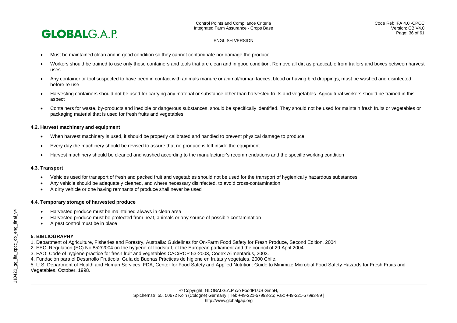

- Must be maintained clean and in good condition so they cannot contaminate nor damage the produce
- Workers should be trained to use only those containers and tools that are clean and in good condition. Remove all dirt as practicable from trailers and boxes between harvest uses
- Any container or tool suspected to have been in contact with animals manure or animal/human faeces, blood or having bird droppings, must be washed and disinfected before re use
- Harvesting containers should not be used for carrying any material or substance other than harvested fruits and vegetables. Agricultural workers should be trained in this aspect
- Containers for waste, by-products and inedible or dangerous substances, should be specifically identified. They should not be used for maintain fresh fruits or vegetables or packaging material that is used for fresh fruits and vegetables

#### **4.2. Harvest machinery and equipment**

- When harvest machinery is used, it should be properly calibrated and handled to prevent physical damage to produce
- Every day the machinery should be revised to assure that no produce is left inside the equipment
- Harvest machinery should be cleaned and washed according to the manufacturer's recommendations and the specific working condition

# **4.3. Transport**

- Vehicles used for transport of fresh and packed fruit and vegetables should not be used for the transport of hygienically hazardous substances
- Any vehicle should be adequately cleaned, and where necessary disinfected, to avoid cross-contamination
- A dirty vehicle or one having remnants of produce shall never be used

# **4.4. Temporary storage of harvested produce**

- Harvested produce must be maintained always in clean area
- Harvested produce must be protected from heat, animals or any source of possible contamination
- A pest control must be in place

# **5. BIBLIOGRAPHY**

- 1. Department of Agriculture, Fisheries and Forestry, Australia: Guidelines for On-Farm Food Safety for Fresh Produce, Second Edition, 2004
- 2. EEC: Regulation (EC) No 852/2004 on the hygiene of foodstuff, of the European parliament and the council of 29 April 2004.
- 3. FAO: Code of hygiene practice for fresh fruit and vegetables CAC/RCP 53-2003, Codex Alimentarius, 2003.
- 4. Fundación para el Desarrollo Frutícola: Guía de Buenas Prácticas de higiene en frutas y vegetales, 2000 Chile.

5. U.S. Department of Health and Human Services, FDA, Center for Food Safety and Applied Nutrition: Guide to Minimize Microbial Food Safety Hazards for Fresh Fruits and Vegetables, October, 1998.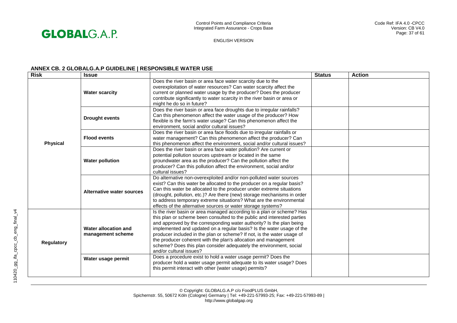

# **ANNEX CB. 2 GLOBALG.A.P GUIDELINE | RESPONSIBLE WATER USE**

| <b>Risk</b>     | <b>Issue</b>                              |                                                                                                                                                                                                                                                                                                                                                                                                                                                                                                                                                 | <b>Status</b> | <b>Action</b> |
|-----------------|-------------------------------------------|-------------------------------------------------------------------------------------------------------------------------------------------------------------------------------------------------------------------------------------------------------------------------------------------------------------------------------------------------------------------------------------------------------------------------------------------------------------------------------------------------------------------------------------------------|---------------|---------------|
| <b>Physical</b> | <b>Water scarcity</b>                     | Does the river basin or area face water scarcity due to the<br>overexploitation of water resources? Can water scarcity affect the<br>current or planned water usage by the producer? Does the producer<br>contribute significantly to water scarcity in the river basin or area or<br>might he do so in future?                                                                                                                                                                                                                                 |               |               |
|                 | <b>Drought events</b>                     | Does the river basin or area face droughts due to irregular rainfalls?<br>Can this phenomenon affect the water usage of the producer? How<br>flexible is the farm's water usage? Can this phenomenon affect the<br>environment, social and/or cultural issues?                                                                                                                                                                                                                                                                                  |               |               |
|                 | <b>Flood events</b>                       | Does the river basin or area face floods due to irregular rainfalls or<br>water management? Can this phenomenon affect the producer? Can<br>this phenomenon affect the environment, social and/or cultural issues?                                                                                                                                                                                                                                                                                                                              |               |               |
|                 | <b>Water pollution</b>                    | Does the river basin or area face water pollution? Are current or<br>potential pollution sources upstream or located in the same<br>groundwater area as the producer? Can the pollution affect the<br>producer? Can this pollution affect the environment, social and/or<br>cultural issues?                                                                                                                                                                                                                                                    |               |               |
|                 | Alternative water sources                 | Do alternative non-overexploited and/or non-polluted water sources<br>exist? Can this water be allocated to the producer on a regular basis?<br>Can this water be allocated to the producer under extreme situations<br>(drought, pollution, etc.)? Are there (new) storage mechanisms in order<br>to address temporary extreme situations? What are the environmental<br>effects of the alternative sources or water storage systems?                                                                                                          |               |               |
| Regulatory      | Water allocation and<br>management scheme | Is the river basin or area managed according to a plan or scheme? Has<br>this plan or scheme been consulted to the public and interested parties<br>and approved by the corresponding water authority? Is the plan being<br>implemented and updated on a regular basis? Is the water usage of the<br>producer included in the plan or scheme? If not, is the water usage of<br>the producer coherent with the plan's allocation and management<br>scheme? Does this plan consider adequately the environment, social<br>and/or cultural issues? |               |               |
|                 | Water usage permit                        | Does a procedure exist to hold a water usage permit? Does the<br>producer hold a water usage permit adequate to its water usage? Does<br>this permit interact with other (water usage) permits?                                                                                                                                                                                                                                                                                                                                                 |               |               |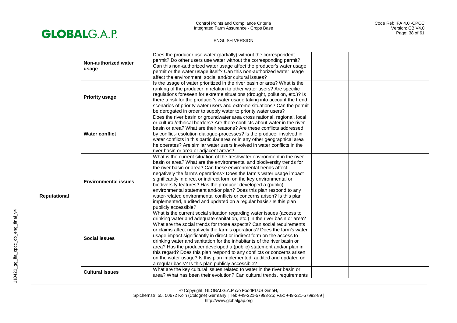

| Does the producer use water (partially) without the correspondent<br>permit? Do other users use water without the corresponding permit?<br>Non-authorized water<br>Can this non-authorized water usage affect the producer's water usage<br>usage<br>permit or the water usage itself? Can this non-authorized water usage<br>affect the environment, social and/or cultural issues?<br>Is the usage of water prioritized in the river basin or area? What is the<br>ranking of the producer in relation to other water users? Are specific<br>regulations foreseen for extreme situations (drought, pollution, etc.)? Is<br><b>Priority usage</b><br>there a risk for the producer's water usage taking into account the trend<br>scenarios of priority water users and extreme situations? Can the permit<br>be derogated in order to supply water to priority water users?<br>Does the river basin or groundwater area cross national, regional, local<br>or cultural/ethnical borders? Are there conflicts about water in the river<br>basin or area? What are their reasons? Are these conflicts addressed<br><b>Water conflict</b><br>by conflict-resolution dialogue-processes? Is the producer involved in<br>water conflicts in this particular area or in any other geographical area<br>he operates? Are similar water users involved in water conflicts in the<br>river basin or area or adjacent areas?<br>What is the current situation of the freshwater environment in the river<br>basin or area? What are the environmental and biodiversity trends for<br>the river basin or area? Can these environmental trends affect<br>negatively the farm's operations? Does the farm's water usage impact<br>significantly in direct or indirect form on the key environmental or<br><b>Environmental issues</b><br>biodiversity features? Has the producer developed a (public)<br>environmental statement and/or plan? Does this plan respond to any<br>water-related environmental conflicts or concerns arisen? Is this plan<br>Reputational<br>implemented, audited and updated on a regular basis? Is this plan<br>publicly accessible?<br>What is the current social situation regarding water issues (access to<br>drinking water and adequate sanitation, etc.) in the river basin or area?<br>What are the social trends for those aspects? Can social requirements<br>or claims affect negatively the farm's operations? Does the farm's water<br>usage impact significantly in direct or indirect form on the access to<br><b>Social issues</b><br>drinking water and sanitation for the inhabitants of the river basin or<br>area? Has the producer developed a (public) statement and/or plan in<br>this regard? Does this plan respond to any conflicts or concerns arisen<br>on the water usage? Is this plan implemented, audited and updated on<br>a regular basis? Is this plan publicly accessible?<br>What are the key cultural issues related to water in the river basin or<br><b>Cultural issues</b> |  |  |  |  |
|----------------------------------------------------------------------------------------------------------------------------------------------------------------------------------------------------------------------------------------------------------------------------------------------------------------------------------------------------------------------------------------------------------------------------------------------------------------------------------------------------------------------------------------------------------------------------------------------------------------------------------------------------------------------------------------------------------------------------------------------------------------------------------------------------------------------------------------------------------------------------------------------------------------------------------------------------------------------------------------------------------------------------------------------------------------------------------------------------------------------------------------------------------------------------------------------------------------------------------------------------------------------------------------------------------------------------------------------------------------------------------------------------------------------------------------------------------------------------------------------------------------------------------------------------------------------------------------------------------------------------------------------------------------------------------------------------------------------------------------------------------------------------------------------------------------------------------------------------------------------------------------------------------------------------------------------------------------------------------------------------------------------------------------------------------------------------------------------------------------------------------------------------------------------------------------------------------------------------------------------------------------------------------------------------------------------------------------------------------------------------------------------------------------------------------------------------------------------------------------------------------------------------------------------------------------------------------------------------------------------------------------------------------------------------------------------------------------------------------------------------------------------------------------------------------------------------------------------------------------------------------------------------------------------------------------------------------------------------------------------------------------------------------------|--|--|--|--|
|                                                                                                                                                                                                                                                                                                                                                                                                                                                                                                                                                                                                                                                                                                                                                                                                                                                                                                                                                                                                                                                                                                                                                                                                                                                                                                                                                                                                                                                                                                                                                                                                                                                                                                                                                                                                                                                                                                                                                                                                                                                                                                                                                                                                                                                                                                                                                                                                                                                                                                                                                                                                                                                                                                                                                                                                                                                                                                                                                                                                                                        |  |  |  |  |
|                                                                                                                                                                                                                                                                                                                                                                                                                                                                                                                                                                                                                                                                                                                                                                                                                                                                                                                                                                                                                                                                                                                                                                                                                                                                                                                                                                                                                                                                                                                                                                                                                                                                                                                                                                                                                                                                                                                                                                                                                                                                                                                                                                                                                                                                                                                                                                                                                                                                                                                                                                                                                                                                                                                                                                                                                                                                                                                                                                                                                                        |  |  |  |  |
|                                                                                                                                                                                                                                                                                                                                                                                                                                                                                                                                                                                                                                                                                                                                                                                                                                                                                                                                                                                                                                                                                                                                                                                                                                                                                                                                                                                                                                                                                                                                                                                                                                                                                                                                                                                                                                                                                                                                                                                                                                                                                                                                                                                                                                                                                                                                                                                                                                                                                                                                                                                                                                                                                                                                                                                                                                                                                                                                                                                                                                        |  |  |  |  |
|                                                                                                                                                                                                                                                                                                                                                                                                                                                                                                                                                                                                                                                                                                                                                                                                                                                                                                                                                                                                                                                                                                                                                                                                                                                                                                                                                                                                                                                                                                                                                                                                                                                                                                                                                                                                                                                                                                                                                                                                                                                                                                                                                                                                                                                                                                                                                                                                                                                                                                                                                                                                                                                                                                                                                                                                                                                                                                                                                                                                                                        |  |  |  |  |
|                                                                                                                                                                                                                                                                                                                                                                                                                                                                                                                                                                                                                                                                                                                                                                                                                                                                                                                                                                                                                                                                                                                                                                                                                                                                                                                                                                                                                                                                                                                                                                                                                                                                                                                                                                                                                                                                                                                                                                                                                                                                                                                                                                                                                                                                                                                                                                                                                                                                                                                                                                                                                                                                                                                                                                                                                                                                                                                                                                                                                                        |  |  |  |  |
| area? What has been their evolution? Can cultural trends, requirements                                                                                                                                                                                                                                                                                                                                                                                                                                                                                                                                                                                                                                                                                                                                                                                                                                                                                                                                                                                                                                                                                                                                                                                                                                                                                                                                                                                                                                                                                                                                                                                                                                                                                                                                                                                                                                                                                                                                                                                                                                                                                                                                                                                                                                                                                                                                                                                                                                                                                                                                                                                                                                                                                                                                                                                                                                                                                                                                                                 |  |  |  |  |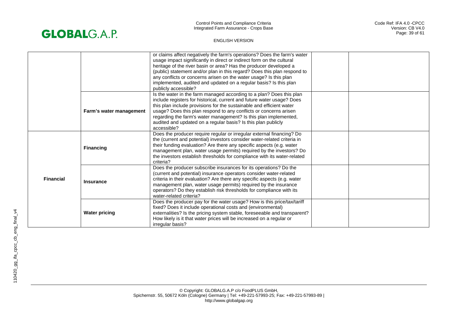

| <b>Financial</b> |                         | or claims affect negatively the farm's operations? Does the farm's water<br>usage impact significantly in direct or indirect form on the cultural<br>heritage of the river basin or area? Has the producer developed a<br>(public) statement and/or plan in this regard? Does this plan respond to<br>any conflicts or concerns arisen on the water usage? Is this plan<br>implemented, audited and updated on a regular basis? Is this plan<br>publicly accessible? |  |
|------------------|-------------------------|----------------------------------------------------------------------------------------------------------------------------------------------------------------------------------------------------------------------------------------------------------------------------------------------------------------------------------------------------------------------------------------------------------------------------------------------------------------------|--|
|                  | Farm's water management | Is the water in the farm managed according to a plan? Does this plan<br>include registers for historical, current and future water usage? Does<br>this plan include provisions for the sustainable and efficient water<br>usage? Does this plan respond to any conflicts or concerns arisen<br>regarding the farm's water management? Is this plan implemented,<br>audited and updated on a regular basis? Is this plan publicly<br>accessible?                      |  |
|                  | <b>Financing</b>        | Does the producer require regular or irregular external financing? Do<br>the (current and potential) investors consider water-related criteria in<br>their funding evaluation? Are there any specific aspects (e.g. water<br>management plan, water usage permits) required by the investors? Do<br>the investors establish thresholds for compliance with its water-related<br>criteria?                                                                            |  |
|                  | <b>Insurance</b>        | Does the producer subscribe insurances for its operations? Do the<br>(current and potential) insurance operators consider water-related<br>criteria in their evaluation? Are there any specific aspects (e.g. water<br>management plan, water usage permits) required by the insurance<br>operators? Do they establish risk thresholds for compliance with its<br>water-related criteria?                                                                            |  |
|                  | <b>Water pricing</b>    | Does the producer pay for the water usage? How is this price/tax/tariff<br>fixed? Does it include operational costs and (environmental)<br>externalities? Is the pricing system stable, foreseeable and transparent?<br>How likely is it that water prices will be increased on a regular or<br>irregular basis?                                                                                                                                                     |  |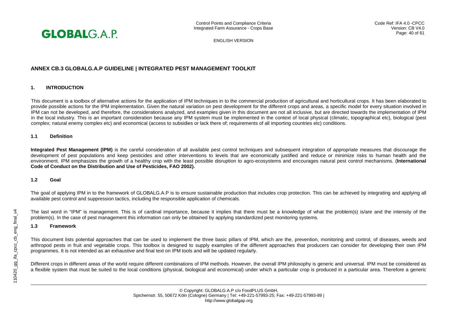

# **ANNEX CB.3 GLOBALG.A.P GUIDELINE | INTEGRATED PEST MANAGEMENT TOOLKIT**

# **1. INTRODUCTION**

This document is a toolbox of alternative actions for the application of IPM techniques in to the commercial production of agricultural and horticultural crops. It has been elaborated to provide possible actions for the IPM implementation. Given the natural variation on pest development for the different crops and areas, a specific model for every situation involved in IPM can not be developed, and therefore, the considerations analyzed, and examples given in this document are not all inclusive, but are directed towards the implementation of IPM in the local industry. This is an important consideration because any IPM system must be implemented in the context of local physical (climatic, topographical etc), biological (pest complex; natural enemy complex etc) and economical (access to subsidies or lack there of; requirements of all importing countries etc) conditions.

# **1.1 Definition**

**Integrated Pest Management (IPM)** is the careful consideration of all available pest control techniques and subsequent integration of appropriate measures that discourage the development of pest populations and keep pesticides and other interventions to levels that are economically justified and reduce or minimize risks to human health and the environment. IPM emphasizes the growth of a healthy crop with the least possible disruption to agro-ecosystems and encourages natural pest control mechanisms. (**International Code of Conduct on the Distribution and Use of Pesticides, FAO 2002).** 

#### **1.2 Goal**

The goal of applying IPM in to the framework of GLOBALG.A.P is to ensure sustainable production that includes crop protection. This can be achieved by integrating and applying all available pest control and suppression tactics, including the responsible application of chemicals.

The last word in "IPM" is management. This is of cardinal importance, because it implies that there must be a knowledge of what the problem(s) is/are and the intensity of the problem(s). In the case of pest management this information can only be obtained by applying standardized pest monitoring systems.

#### **1.3 Framework**

This document lists potential approaches that can be used to implement the three basic pillars of IPM, which are the, prevention, monitoring and control, of diseases, weeds and arthropod pests in fruit and vegetable crops. This toolbox is designed to supply examples of the different approaches that producers can consider for developing their own IPM programmes. It is not intended as an exhaustive and final text on IPM tools and will be updated regularly.

Different crops in different areas of the world require different combinations of IPM methods. However, the overall IPM philosophy is generic and universal. IPM must be considered as a flexible system that must be suited to the local conditions (physical, biological and economical) under which a particular crop is produced in a particular area. Therefore a generic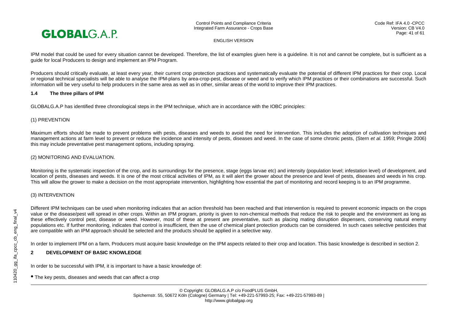

IPM model that could be used for every situation cannot be developed. Therefore, the list of examples given here is a guideline. It is not and cannot be complete, but is sufficient as a guide for local Producers to design and implement an IPM Program.

Producers should critically evaluate, at least every year, their current crop protection practices and systematically evaluate the potential of different IPM practices for their crop. Local or regional technical specialists will be able to analyse the IPM-plans by area-crop-pest, disease or weed and to verify which IPM practices or their combinations are successful. Such information will be very useful to help producers in the same area as well as in other, similar areas of the world to improve their IPM practices.

#### **1.4 The three pillars of IPM**

GLOBALG.A.P has identified three chronological steps in the IPM technique, which are in accordance with the IOBC principles:

#### (1) PREVENTION

Maximum efforts should be made to prevent problems with pests, diseases and weeds to avoid the need for intervention. This includes the adoption of cultivation techniques and management actions at farm level to prevent or reduce the incidence and intensity of pests, diseases and weed. In the case of some chronic pests, (Stern *et al.* 1959; Pringle 2006) this may include preventative pest management options, including spraying.

# (2) MONITORING AND EVALUATION.

Monitoring is the systematic inspection of the crop, and its surroundings for the presence, stage (eggs larvae etc) and intensity (population level; infestation level) of development, and location of pests, diseases and weeds. It is one of the most critical activities of IPM, as it will alert the grower about the presence and level of pests, diseases and weeds in his crop. This will allow the grower to make a decision on the most appropriate intervention, highlighting how essential the part of monitoring and record keeping is to an IPM programme.

# (3) INTERVENTION

Different IPM techniques can be used when monitoring indicates that an action threshold has been reached and that intervention is required to prevent economic impacts on the crops value or the disease/pest will spread in other crops. Within an IPM program, priority is given to non-chemical methods that reduce the risk to people and the environment as long as these effectively control pest, disease or weed. However, most of these at present are preventative, such as placing mating disruption dispensers, conserving natural enemy populations etc. If further monitoring, indicates that control is insufficient, then the use of chemical plant protection products can be considered. In such cases selective pesticides that are compatible with an IPM approach should be selected and the products should be applied in a selective way.

In order to implement IPM on a farm, Producers must acquire basic knowledge on the IPM aspects related to their crop and location. This basic knowledge is described in section 2.

# **2 DEVELOPMENT OF BASIC KNOWLEDGE**

In order to be successful with IPM, it is important to have a basic knowledge of:

• The key pests, diseases and weeds that can affect a crop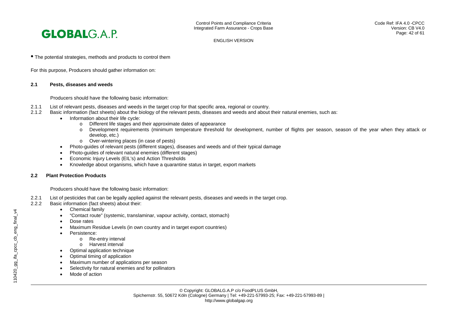

• The potential strategies, methods and products to control them

For this purpose, Producers should gather information on:

#### **2.1 Pests, diseases and weeds**

Producers should have the following basic information:

- 2.1.1 List of relevant pests, diseases and weeds in the target crop for that specific area, regional or country.<br>2.1.2 Basic information (fact sheets) about the biology of the relevant pests, diseases and weeds and about
- Basic information (fact sheets) about the biology of the relevant pests, diseases and weeds and about their natural enemies, such as:
	- Information about their life cycle:
		- o Different life stages and their approximate dates of appearance<br>  $\circ$  Development requirements (minimum temperature threshold in
		- Development requirements (minimum temperature threshold for development, number of flights per season, season of the year when they attack or develop, etc.)
		- o Over-wintering places (in case of pests)
		- Photo-guides of relevant pests (different stages), diseases and weeds and of their typical damage
	- Photo-guides of relevant natural enemies (different stages)
	- Economic Injury Levels (EIL's) and Action Thresholds
	- Knowledge about organisms, which have a quarantine status in target, export markets

#### **2.2 Plant Protection Products**

Producers should have the following basic information:

- 2.2.1 List of pesticides that can be legally applied against the relevant pests, diseases and weeds in the target crop.<br>2.2.2 Basic information (fact sheets) about their:
- Basic information (fact sheets) about their:
	- Chemical family
	- "Contact route" (systemic, translaminar, vapour activity, contact, stomach)
	- Dose rates
	- Maximum Residue Levels (in own country and in target export countries)
	- Persistence:
		- o Re-entry interval
		- o Harvest interval
	- Optimal application technique
	- Optimal timing of application
	- Maximum number of applications per season
	- Selectivity for natural enemies and for pollinators
	- Mode of action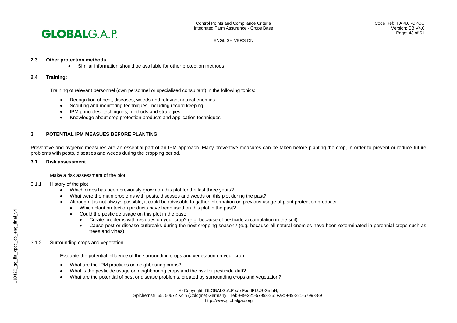

#### **2.3 Other protection methods**

• Similar information should be available for other protection methods

#### **2.4 Training:**

Training of relevant personnel (own personnel or specialised consultant) in the following topics:

- Recognition of pest, diseases, weeds and relevant natural enemies
- Scouting and monitoring techniques, including record keeping
- IPM principles, techniques, methods and strategies
- Knowledge about crop protection products and application techniques

# **3 POTENTIAL IPM MEASUES BEFORE PLANTING**

Preventive and hygienic measures are an essential part of an IPM approach. Many preventive measures can be taken before planting the crop, in order to prevent or reduce future problems with pests, diseases and weeds during the cropping period.

#### **3.1 Risk assessment**

Make a risk assessment of the plot:

#### 3.1.1 History of the plot

- Which crops has been previously grown on this plot for the last three years?
- What were the main problems with pests, diseases and weeds on this plot during the past?
- Although it is not always possible, it could be advisable to gather information on previous usage of plant protection products:
	- Which plant protection products have been used on this plot in the past?
	- Could the pesticide usage on this plot in the past:
		- Create problems with residues on your crop? (e.g. because of pesticide accumulation in the soil)
		- Cause pest or disease outbreaks during the next cropping season? (e.g. because all natural enemies have been exterminated in perennial crops such as trees and vines).

#### 3.1.2 Surrounding crops and vegetation

Evaluate the potential influence of the surrounding crops and vegetation on your crop:

- What are the IPM practices on neighbouring crops?
- What is the pesticide usage on neighbouring crops and the risk for pesticide drift?
- What are the potential of pest or disease problems, created by surrounding crops and vegetation?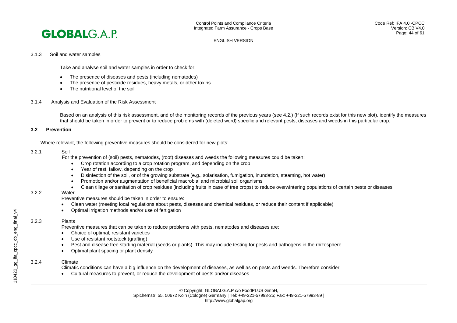#### 3.1.3 Soil and water samples

Take and analyse soil and water samples in order to check for:

- The presence of diseases and pests (including nematodes)
- The presence of pesticide residues, heavy metals, or other toxins
- The nutritional level of the soil
- 3.1.4 Analysis and Evaluation of the Risk Assessment

Based on an analysis of this risk assessment, and of the monitoring records of the previous years (see 4.2.) (If such records exist for this new plot), identify the measures that should be taken in order to prevent or to reduce problems with (deleted word) specific and relevant pests, diseases and weeds in this particular crop.

#### **3.2 Prevention**

Where relevant, the following preventive measures should be considered for new plots:

#### 3.2.1 Soil

For the prevention of (soil) pests, nematodes, (root) diseases and weeds the following measures could be taken:

- Crop rotation according to a crop rotation program, and depending on the crop
- Year of rest, fallow, depending on the crop
- Disinfection of the soil, or of the growing substrate (e.g., solarisation, fumigation, inundation, steaming, hot water)
- Promotion and/or augmentation of beneficial macrobial and microbial soil organisms
- Clean tillage or sanitation of crop residues (including fruits in case of tree crops) to reduce overwintering populations of certain pests or diseases

#### 3.2.2 Water

Preventive measures should be taken in order to ensure:

- Clean water (meeting local regulations about pests, diseases and chemical residues, or reduce their content if applicable)
- Optimal irrigation methods and/or use of fertigation

#### 3.2.3 Plants

Preventive measures that can be taken to reduce problems with pests, nematodes and diseases are:

- Choice of optimal, resistant varieties
- Use of resistant rootstock (grafting)
- Pest and disease free starting material (seeds or plants). This may include testing for pests and pathogens in the rhizosphere
- Optimal plant spacing or plant density

#### 3.2.4 Climate

Climatic conditions can have a big influence on the development of diseases, as well as on pests and weeds. Therefore consider:

• Cultural measures to prevent, or reduce the development of pests and/or diseases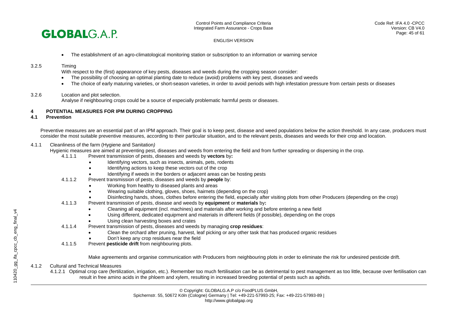

• The establishment of an agro-climatological monitoring station or subscription to an information or warning service

#### 3.2.5 Timing

With respect to the (first) appearance of key pests, diseases and weeds during the cropping season consider:

- The possibility of choosing an optimal planting date to reduce (avoid) problems with key pest, diseases and weeds
- The choice of early maturing varieties, or short-season varieties, in order to avoid periods with high infestation pressure from certain pests or diseases

#### 3.2.6 Location and plot selection.

Analyse if neighbouring crops could be a source of especially problematic harmful pests or diseases.

# **4 POTENTIAL MEASURES FOR IPM DURING CROPPING**

#### **4.1 Prevention**

Preventive measures are an essential part of an IPM approach. Their goal is to keep pest, disease and weed populations below the action threshold. In any case, producers must consider the most suitable preventive measures, according to their particular situation, and to the relevant pests, diseases and weeds for their crop and location.

#### 4.1.1 Cleanliness of the farm (Hygiene and Sanitation*)*

Hygienic measures are aimed at preventing pest, diseases and weeds from entering the field and from further spreading or dispersing in the crop.

- 4.1.1.1 Prevent transmission of pests, diseases and weeds by **vectors** by**:**
	- Identifying vectors, such as insects, animals, pets, rodents
	- Identifying actions to keep these vectors out of the crop
	- Identifying if weeds in the borders or adjacent areas can be hosting pests
- 4.1.1.2 Prevent transmission of pests, diseases and weeds by **people** by:
	- Working from healthy to diseased plants and areas
	- Wearing suitable clothing, gloves, shoes, hairnets (depending on the crop)
	- Disinfecting hands, shoes, clothes before entering the field, especially after visiting plots from other Producers (depending on the crop)
- 4.1.1.3 Prevent transmission of pests, disease and weeds by **equipment** or **materials** by**:**
	- Cleaning all equipment (incl. machines) and materials after working and before entering a new field
	- Using different, dedicated equipment and materials in different fields (if possible), depending on the crops
	- Using clean harvesting boxes and crates
- 4.1.1.4 Prevent transmission of pests, diseases and weeds by managing **crop residues**:
	- Clean the orchard after pruning, harvest, leaf picking or any other task that has produced organic residues
	- Don't keep any crop residues near the field
- 4.1.1.5 Prevent **pesticide drift** from neighbouring plots.

Make agreements and organise communication with Producers from neighbouring plots in order to eliminate the risk for undesired pesticide drift.

# 4.1.2 Cultural and Technical Measures

4.1.2.1 Optimal crop care (fertilization, irrigation, etc.). Remember too much fertilisation can be as detrimental to pest management as too little, because over fertilisation can result in free amino acids in the phloem and xylem, resulting in increased breeding potential of pests such as aphids.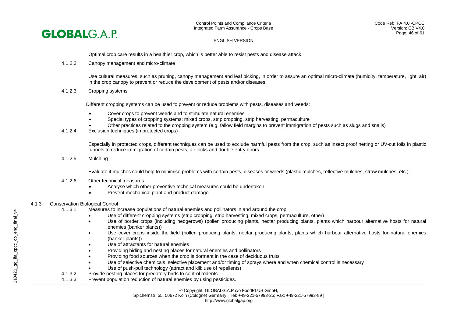

Optimal crop care results in a healthier crop, which is better able to resist pests and disease attack.

4.1.2.2 Canopy management and micro-climate

Use cultural measures, such as pruning, canopy management and leaf picking, in order to assure an optimal micro-climate (humidity, temperature, light, air) in the crop canopy to prevent or reduce the development of pests and/or diseases.

4.1.2.3 Cropping systems

Different cropping systems can be used to prevent or reduce problems with pests, diseases and weeds:

- Cover crops to prevent weeds and to stimulate natural enemies
- Special types of cropping systems: mixed crops, strip cropping, strip harvesting, permaculture
- Other practices related to the cropping system (e.g. fallow field margins to prevent immigration of pests such as slugs and snails)
- 4.1.2.4 Exclusion techniques (in protected crops)

Especially in protected crops, different techniques can be used to exclude harmful pests from the crop, such as insect proof netting or UV-cut foils in plastic tunnels to reduce immigration of certain pests, air locks and double entry doors.

4.1.2.5 Mulching

Evaluate if mulches could help to minimise problems with certain pests, diseases or weeds (plastic mulches, reflective mulches, straw mulches, etc.).

- 4.1.2.6 Other technical measures
	- Analyse which other preventive technical measures could be undertaken
	- Prevent mechanical plant and product damage

#### 4.1.3 Conservation Biological Control

- 4.1.3.1 Measures to increase populations of natural enemies and pollinators in and around the crop:
	- Use of different cropping systems (strip cropping, strip harvesting, mixed crops, permaculture, other)
	- Use of border crops (including hedgerows) (pollen producing plants, nectar producing plants, plants which harbour alternative hosts for natural enemies (banker plants))
	- Use cover crops inside the field (pollen producing plants, nectar producing plants, plants which harbour alternative hosts for natural enemies (banker plants))
	- Use of attractants for natural enemies
	- Providing hiding and nesting places for natural enemies and pollinators
	- Providing food sources when the crop is dormant in the case of deciduous fruits
	- Use of selective chemicals, selective placement and/or timing of sprays where and when chemical control is necessary
	- Use of push-pull technology (attract and kill; use of repellents)
- 4.1.3.2 Provide nesting places for predatory birds to control rodents.<br>4.1.3.3 Prevent population reduction of natural enemies by using per
- Prevent population reduction of natural enemies by using pesticides.

© Copyright: GLOBALG.A.P c/o FoodPLUS GmbH,

Spichernstr. 55, 50672 Köln (Cologne) Germany | Tel: +49-221-57993-25; Fax: +49-221-57993-89 |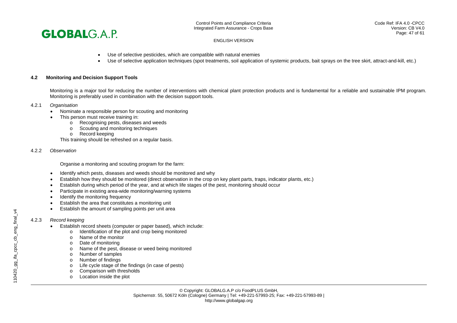

- Use of selective pesticides, which are compatible with natural enemies
- Use of selective application techniques (spot treatments, soil application of systemic products, bait sprays on the tree skirt, attract-and-kill, etc.)

#### **4.2 Monitoring and Decision Support Tools**

Monitoring is a major tool for reducing the number of interventions with chemical plant protection products and is fundamental for a reliable and sustainable IPM program. Monitoring is preferably used in combination with the decision support tools.

#### 4.2.1 *Organisation*

- Nominate a responsible person for scouting and monitoring
- This person must receive training in:
	- o Recognising pests, diseases and weeds
	- o Scouting and monitoring techniques
	- o Record keeping

This training should be refreshed on a regular basis.

#### 4.2.2 *Observation*

Organise a monitoring and scouting program for the farm:

- Identify which pests, diseases and weeds should be monitored and why
- Establish how they should be monitored (direct observation in the crop on key plant parts, traps, indicator plants, etc.)
- Establish during which period of the year, and at which life stages of the pest, monitoring should occur
- Participate in existing area-wide monitoring/warning systems
- Identify the monitoring frequency
- Establish the area that constitutes a monitoring unit
- Establish the amount of sampling points per unit area

# 4.2.3 *Record keeping*

- Establish record sheets (computer or paper based), which include:
	- o Identification of the plot and crop being monitored
	- o Name of the monitor
	- o Date of monitoring
	- o Name of the pest, disease or weed being monitored
	- o Number of samples<br>
	o Number of findings
	- o Number of findings<br>
	o Life cycle stage of t
	- Life cycle stage of the findings (in case of pests)
	- o Comparison with thresholds
	- o Location inside the plot

© Copyright: GLOBALG.A.P c/o FoodPLUS GmbH, Spichernstr. 55, 50672 Köln (Cologne) Germany | Tel: +49-221-57993-25; Fax: +49-221-57993-89 | http://www.globalgap.org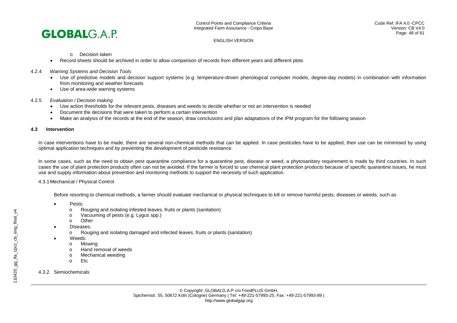

o Decision taken

- Record sheets should be archived in order to allow comparison of records from different years and different plots
- 4.2.4 *Warning Systems and Decision Tools*
	- Use of predictive models and decision support systems (e.g. temperature-driven phenological computer models, degree-day models) in combination with information from monitoring and weather forecasts
	- Use of area-wide warning systems
- 4.2.5 *Evaluation / Decision making*
	- Use action thresholds for the relevant pests, diseases and weeds to decide whether or not an intervention is needed
	- Document the decisions that were taken to perform a certain intervention
	- Make an analysis of the records at the end of the season, draw conclusions and plan adaptations of the IPM program for the following season

# **4.3 Intervention**

In case interventions have to be made, there are several non-chemical methods that can be applied. In case pesticides have to be applied, their use can be minimised by using optimal application techniques and by preventing the development of pesticide resistance.

In some cases, such as the need to obtain pest quarantine compliance for a quarantine pest, disease or weed, a phytosanitary requirement is made by third countries. In such cases the use of plant protection products often can not be avoided. If the farmer is forced to use chemical plant protection products because of specific quarantine issues, he must use and supply information about prevention and monitoring methods to support the necessity of such application.

4.3.1Mechanical / Physical Control

Before resorting to chemical methods, a farmer should evaluate mechanical or physical techniques to kill or remove harmful pests, diseases or weeds, such as

- Pests:
	- o Rouging and isolating infested leaves, fruits or plants (sanitation)
	- o Vacuuming of pests (e.g. Lygus spp.)
	- Other
- Diseases:
	- o Rouging and isolating damaged and infected leaves, fruits or plants (sanitation)
	- Weeds:
		- o Mowing<br>o Hand re
		- Hand removal of weeds
		- o Mechanical weeding
		- Etc
- 4.3.2 Semiochemicals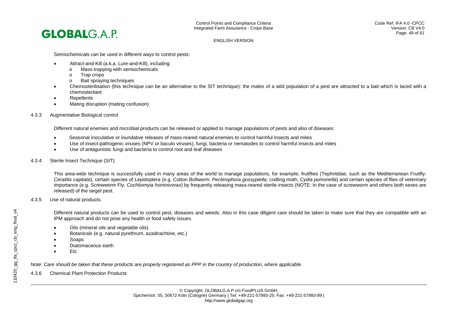Semiochemicals can be used in different ways to control pests:

- Attract-and-Kill (a.k.a. Lure-and-Kill), including:
	- o Mass-trapping with semiochemicals
	- o Trap crops<br>o Bait spravin
	- Bait spraying techniques
- Chemosterilisation (this technique can be an alternative to the SIT technique): the males of a wild population of a pest are attracted to a bait which is laced with a chemosterilant
- **Repellents**
- Mating disruption (mating confusion)
- 4.3.3 Augmentative Biological control

Different natural enemies and microbial products can be released or applied to manage populations of pests and also of diseases:

- Seasonal inoculative or inundative releases of mass-reared natural enemies to control harmful insects and mites
- Use of insect-pathogenic viruses (NPV or baculo viruses), fungi, bacteria or nematodes to control harmful insects and mites
- Use of antagonistic fungi and bacteria to control root and leaf diseases
- 4.3.4 Sterile Insect Technique (SIT)

This area-wide technique is successfully used in many areas of the world to manage populations, for example; fruitflies (Tephritidae, such as the Mediterranean Fruitfly: *Ceratitis capitata*), certain species of Lepidoptera (e.g. Cotton Bollworm: *Pectinophora gossypiella*; codling moth, *Cydia pomonella*) and certain species of flies of veterinary importance (e.g. Screwworm Fly: *Cochliomyia hominivorax*) by frequently releasing mass-reared sterile insects (NOTE: In the case of screwworm and others both sexes are released) of the target pest.

#### 4.3.5 Use of natural products*.*

Different natural products can be used to control pest, diseases and weeds. Also in this case diligent care should be taken to make sure that they are compatible with an IPM approach and do not pose any health or food safety issues.

- Oils (mineral oils and vegetable oils)
- Botanicals (e.g. natural pyrethrum, azadirachtine, etc.)
- Soaps
- Diatomaceous earth
- Etc

*Note: Care should be taken that these products are properly registered as PPP in the country of production, where applicable.*

4.3.6 Chemical Plant Protection Products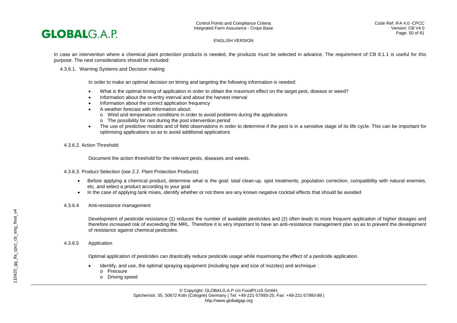In case an intervention where a chemical plant protection products is needed, the products must be selected in advance. The requirement of CB 8.1.1 is useful for this purpose. The next considerations should be included:

#### 4.3.6.1. Warning Systems and Decision making

In order to make an optimal decision on timing and targeting the following information is needed:

- What is the optimal timing of application in order to obtain the maximum effect on the target pest, disease or weed?
- Information about the re-entry interval and about the harvest interval
- Information about the correct application frequency
- A weather forecast with information about:
	- o Wind and temperature conditions in order to avoid problems during the applications
	- o The possibility for rain during the post intervention period
- The use of predictive models and of field observations in order to determine if the pest is in a sensitive stage of its life cycle. This can be important for optimising applications so as to avoid additional applications

#### 4.3.6.2*.* Action Threshold

Document the action threshold for the relevant pests, diseases and weeds.

4.3.6.3. Product Selection (see 2.2. Plant Protection Products)

- Before applying a chemical product, determine what is the goal: total clean-up, spot treatments, population correction, compatibility with natural enemies, etc. and select a product according to your goal
- In the case of applying tank mixes, identify whether or not there are any known negative cocktail effects that should be avoided
- 4.3.6.4 Anti-resistance management

Development of pesticide resistance (1) reduces the number of available pesticides and (2) often leads to more frequent application of higher dosages and therefore increased risk of exceeding the MRL. Therefore it is very important to have an anti-resistance management plan so as to prevent the development of resistance against chemical pesticides.

#### 4.3.6.5 Application

Optimal application of pesticides can drastically reduce pesticide usage while maximising the effect of a pesticide application.

- Identify, and use, the optimal spraying equipment (including type and size of nozzles) and technique :
	- o Pressure
	- o Driving speed

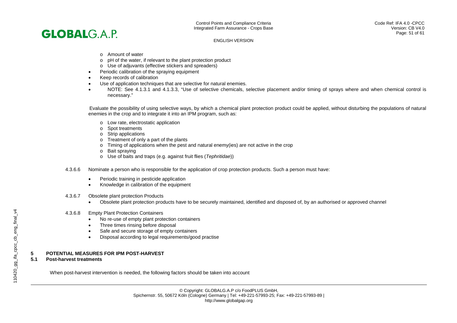

- o Amount of water
- o pH of the water, if relevant to the plant protection product
- o Use of adjuvants (effective stickers and spreaders)
- Periodic calibration of the spraying equipment
- Keep records of calibration
- Use of application techniques that are selective for natural enemies.
- NOTE: See 4.1.3.1 and 4.1.3.3, "Use of selective chemicals, selective placement and/or timing of sprays where and when chemical control is necessary."

Evaluate the possibility of using selective ways, by which a chemical plant protection product could be applied, without disturbing the populations of natural enemies in the crop and to integrate it into an IPM program, such as:

- o Low rate, electrostatic application
- o Spot treatments
- o Strip applications
- $\circ$  Treatment of only a part of the plants<br> $\circ$  Timing of applications when the pest
- Timing of applications when the pest and natural enemy(ies) are not active in the crop
- o Bait spraying
- o Use of baits and traps (e.g. against fruit flies (*Tephritidae*))
- 4.3.6.6 Nominate a person who is responsible for the application of crop protection products. Such a person must have:
	- Periodic training in pesticide application
	- Knowledge in calibration of the equipment
- 4.3.6.7 Obsolete plant protection Products
	- Obsolete plant protection products have to be securely maintained, identified and disposed of, by an authorised or approved channel
- 4.3.6.8 Empty Plant Protection Containers
	- No re-use of empty plant protection containers
	- Three times rinsing before disposal
	- Safe and secure storage of empty containers
	- Disposal according to legal requirements/good practise

# **5 POTENTIAL MEASURES FOR IPM POST-HARVEST**

# **5.1 Post-harvest treatments**

When post-harvest intervention is needed, the following factors should be taken into account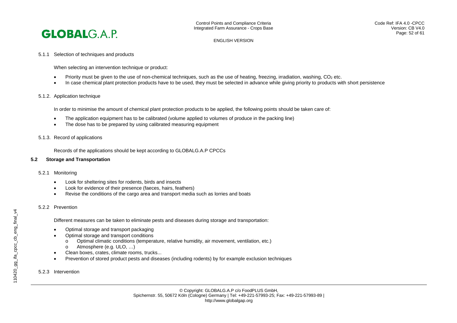

#### 5.1.1 Selection of techniques and products

When selecting an intervention technique or product:

- Priority must be given to the use of non-chemical techniques, such as the use of heating, freezing, irradiation, washing, CO<sub>2</sub> etc.
- In case chemical plant protection products have to be used, they must be selected in advance while giving priority to products with short persistence

#### 5.1.2. Application technique

In order to minimise the amount of chemical plant protection products to be applied, the following points should be taken care of:

- The application equipment has to be calibrated (volume applied to volumes of produce in the packing line)
- The dose has to be prepared by using calibrated measuring equipment
- 5.1.3. Record of applications

Records of the applications should be kept according to GLOBALG.A.P CPCCs

#### **5.2 Storage and Transportation**

#### 5.2.1 Monitoring

- Look for sheltering sites for rodents, birds and insects
- Look for evidence of their presence (faeces, hairs, feathers)
- Revise the conditions of the cargo area and transport media such as lorries and boats

#### 5.2.2 Prevention

Different measures can be taken to eliminate pests and diseases during storage and transportation:

- Optimal storage and transport packaging
- Optimal storage and transport conditions
	- o Optimal climatic conditions (temperature, relative humidity, air movement, ventilation, etc.)<br>  $\circ$  Atmosphere (e.g. ULO....)
	- Atmosphere (e.g. ULO, ...)
- Clean boxes, crates, climate rooms, trucks...
- Prevention of stored product pests and diseases (including rodents) by for example exclusion techniques

5.2.3 Intervention

# 110420\_gg\_ifa\_cpcc\_cb\_eng\_final\_v4 110420\_gg\_ifa\_cpcc\_cb\_eng\_final\_v4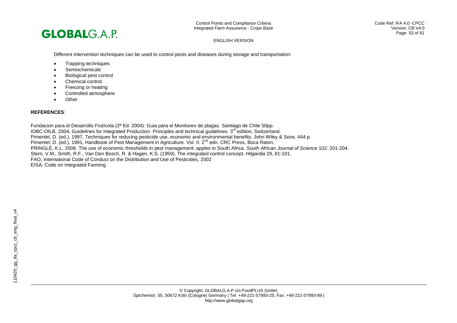

Different intervention techniques can be used to control pests and diseases during storage and transportation:

- Trapping techniques
- Semiochemicals
- Biological pest control
- Chemical control
- Freezing or heating
- Controlled atmosphere
- Other

# **REFERENCES**:

Fundacion para el Desarrollo Frutícola (2ª Ed. 2004): Guia para el Monitoreo de plagas. Santiago de Chile 50pp. IOBC-OILB, 2004, Guidelines for Integrated Production. Principles and technical guidelines. 3<sup>rd</sup> edition, Switzerland. Pimentel, D. (ed.), 1997, Techniques for reducing pesticide use, economic and environmental benefits. John Wiley & Sons. 444 p. Pimentel, D. (ed.), 1991, Handbook of Pest Management in Agriculture. Vol. II. 2<sup>nd</sup> edn. CRC Press, Boca Raton. PRINGLE, K.L. 2006. The use of economic thresholds in pest management: apples in South Africa. *South African Journal of Science* 102: 201-204. Stern, V.M., Smith, R.F., Van Den Bosch, R. & Hagen, K.S. (1959). The integrated control concept. *Hilgardia* 29, 81-101. FAO, International Code of Conduct on the Distribution and Use of Pesticides, 2002 EISA: Code on Integrated Farming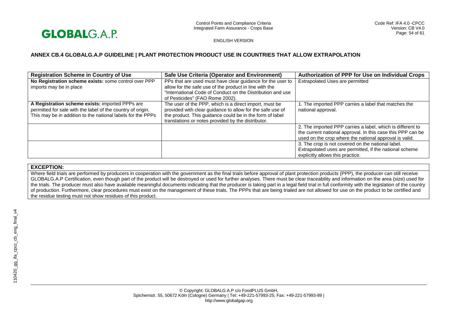

# **ANNEX CB.4 GLOBALG.A.P GUIDELINE | PLANT PROTECTION PRODUCT USE IN COUNTRIES THAT ALLOW EXTRAPOLATION**

| <b>Registration Scheme in Country of Use</b>                                                                                                                                  | Safe Use Criteria (Operator and Environment)                                                                                                                                                                                          | <b>Authorization of PPP for Use on Individual Crops</b>                                                                                                                             |
|-------------------------------------------------------------------------------------------------------------------------------------------------------------------------------|---------------------------------------------------------------------------------------------------------------------------------------------------------------------------------------------------------------------------------------|-------------------------------------------------------------------------------------------------------------------------------------------------------------------------------------|
| No Registration scheme exists: some control over PPP<br>imports may be in place                                                                                               | PPs that are used must have clear guidance for the user to<br>allow for the safe use of the product in line with the<br>"International Code of Conduct on the Distribution and use<br>of Pesticides" (FAO Rome 2002).                 | Extrapolated Uses are permitted                                                                                                                                                     |
| A Registration scheme exists: imported PPPs are<br>permitted for sale with the label of the country of origin.<br>This may be in addition to the national labels for the PPPs | The user of the PPP, which is a direct import, must be<br>provided with clear guidance to allow for the safe use of<br>the product. This guidance could be in the form of label<br>translations or notes provided by the distributor. | 1. The imported PPP carries a label that matches the<br>national approval.                                                                                                          |
|                                                                                                                                                                               |                                                                                                                                                                                                                                       | 2. The imported PPP carries a label, which is different to<br>the current national approval. In this case this PPP can be<br>used on the crop where the national approval is valid. |
|                                                                                                                                                                               |                                                                                                                                                                                                                                       | 3. The crop is not covered on the national label.<br>Extrapolated uses are permitted, if the national scheme<br>explicitly allows this practice.                                    |

# **EXCEPTION:**

Where field trials are performed by producers in cooperation with the government as the final trials before approval of plant protection products (PPP), the producer can still receive GLOBALG.A.P Certification, even though part of the product will be destroyed or used for further analyses. There must be clear traceability and information on the area (size) used for the trials. The producer must also have available meaningful documents indicating that the producer is taking part in a legal field trial in full conformity with the legislation of the country of production. Furthermore, clear procedures must exist on the management of these trials. The PPPs that are being trialed are not allowed for use on the product to be certified and the residue testing must not show residues of this product.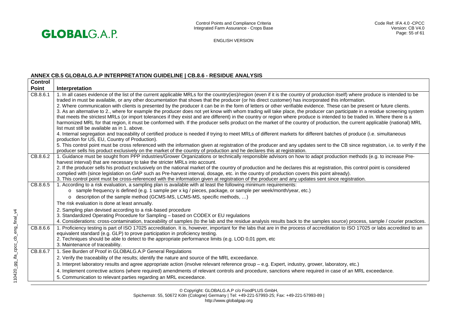

# **ANNEX CB.5 GLOBALG.A.P INTERPRETATION GUIDELINE | CB.8.6 - RESIDUE ANALYSIS**

| <b>Control</b> |                                                                                                                                                                                                                            |
|----------------|----------------------------------------------------------------------------------------------------------------------------------------------------------------------------------------------------------------------------|
| <b>Point</b>   | Interpretation                                                                                                                                                                                                             |
| CB.8.6.1       | 1. In all cases evidence of the list of the current applicable MRLs for the country(ies)/region (even if it is the country of production itself) where produce is intended to be                                           |
|                | traded in must be available, or any other documentation that shows that the producer (or his direct customer) has incorporated this information.                                                                           |
|                | 2. Where communication with clients is presented by the producer it can be in the form of letters or other verifiable evidence. These can be present or future clients.                                                    |
|                | 3. As an alternative to 2., where for example the producer does not yet know with whom trading will take place, the producer can participate in a residue screening system                                                 |
|                | that meets the strictest MRLs (or import tolerances if they exist and are different) in the country or region where produce is intended to be traded in. Where there is a                                                  |
|                | harmonized MRL for that region, it must be conformed with. If the producer sells product on the market of the country of production, the current applicable (national) MRL<br>list must still be available as in 1, above. |
|                | 4. Internal segregation and traceability of certified produce is needed if trying to meet MRLs of different markets for different batches of produce (i.e. simultaneous                                                    |
|                | production for US, EU, Country of Production).                                                                                                                                                                             |
|                | 5. This control point must be cross referenced with the information given at registration of the producer and any updates sent to the CB since registration, i.e. to verify if the                                         |
|                | producer sells his product exclusively on the market of the country of production and he declares this at registration.                                                                                                    |
| CB.8.6.2       | 1. Guidance must be sought from PPP industries/Grower Organizations or technically responsible advisors on how to adapt production methods (e.g. to increase Pre-                                                          |
|                | harvest interval) that are necessary to take the stricter MRLs into account.                                                                                                                                               |
|                | 2. If the producer sells his product exclusively on the national market of the country of production and he declares this at registration, this control point is considered                                                |
|                | complied with (since legislation on GAP such as Pre-harvest interval, dosage, etc. in the country of production covers this point already).                                                                                |
|                | 3. This control point must be cross-referenced with the information given at registration of the producer and any updates sent since registration.                                                                         |
| CB.8.6.5       | 1. According to a risk evaluation, a sampling plan is available with at least the following minimum requirements:                                                                                                          |
|                | o sample frequency is defined (e.g. 1 sample per x kg / pieces, package, or sample per week/month/year, etc.)                                                                                                              |
|                | o description of the sample method (GCMS-MS, LCMS-MS, specific methods, )                                                                                                                                                  |
|                | The risk evaluation is done at least annually.                                                                                                                                                                             |
|                | 2. Sampling plan devised according to a risk-based procedure                                                                                                                                                               |
|                | 3. Standardized Operating Procedure for Sampling - based on CODEX or EU regulations                                                                                                                                        |
|                | 4. Considerations: cross-contamination, traceability of samples (to the lab and the residue analysis results back to the samples source) process, sample / courier practices.                                              |
| CB.8.6.6       | 1. Proficiency testing is part of ISO 17025 accreditation. It is, however, important for the labs that are in the process of accreditation to ISO 17025 or labs accredited to an                                           |
|                | equivalent standard (e.g. GLP) to prove participation in proficiency testing.                                                                                                                                              |
|                | 2. Techniques should be able to detect to the appropriate performance limits (e.g. LOD 0,01 ppm, etc                                                                                                                       |
|                | 3. Maintenance of traceability.                                                                                                                                                                                            |
| CB.8.6.7       | 1. See Burden of Proof in GLOBALG.A.P General Regulations                                                                                                                                                                  |
|                | 2. Verify the traceability of the results; identify the nature and source of the MRL exceedance.                                                                                                                           |
|                | 3. Interpret laboratory results and agree appropriate action (involve relevant reference group - e.g. Expert, industry, grower, laboratory, etc.)                                                                          |
|                | 4. Implement corrective actions (where required) amendments of relevant controls and procedure, sanctions where required in case of an MRL exceedance.                                                                     |
|                | 5. Communication to relevant parties regarding an MRL exceedance.                                                                                                                                                          |
|                |                                                                                                                                                                                                                            |

© Copyright: GLOBALG.A.P c/o FoodPLUS GmbH,

Spichernstr. 55, 50672 Köln (Cologne) Germany | Tel: +49-221-57993-25; Fax: +49-221-57993-89 |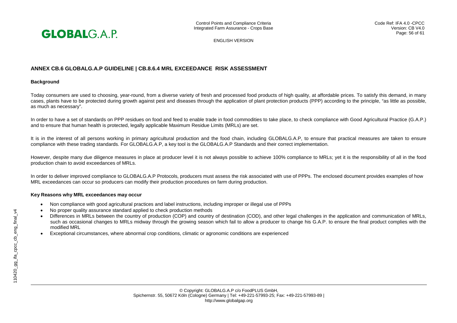

# **ANNEX CB.6 GLOBALG.A.P GUIDELINE | CB.8.6.4 MRL EXCEEDANCE RISK ASSESSMENT**

#### **Background**

Today consumers are used to choosing, year-round, from a diverse variety of fresh and processed food products of high quality, at affordable prices. To satisfy this demand, in many cases, plants have to be protected during growth against pest and diseases through the application of plant protection products (PPP) according to the principle, "as little as possible, as much as necessary".

In order to have a set of standards on PPP residues on food and feed to enable trade in food commodities to take place, to check compliance with Good Agricultural Practice (G.A.P.) and to ensure that human health is protected, legally applicable Maximum Residue Limits (MRLs) are set.

It is in the interest of all persons working in primary agricultural production and the food chain, including GLOBALG.A.P, to ensure that practical measures are taken to ensure compliance with these trading standards. For GLOBALG.A.P, a key tool is the GLOBALG.A.P Standards and their correct implementation.

However, despite many due diligence measures in place at producer level it is not always possible to achieve 100% compliance to MRLs; yet it is the responsibility of all in the food production chain to avoid exceedances of MRLs.

In order to deliver improved compliance to GLOBALG.A.P Protocols, producers must assess the risk associated with use of PPPs. The enclosed document provides examples of how MRL exceedances can occur so producers can modify their production procedures on farm during production.

#### **Key Reasons why MRL exceedances may occur**

- Non compliance with good agricultural practices and label instructions, including improper or illegal use of PPPs
- No proper quality assurance standard applied to check production methods
- Differences in MRLs between the country of production (COP) and country of destination (COD), and other legal challenges in the application and communication of MRLs, such as occasional changes to MRLs midway through the growing season which fail to allow a producer to change his G.A.P. to ensure the final product complies with the modified MRL
- Exceptional circumstances, where abnormal crop conditions, climatic or agronomic conditions are experienced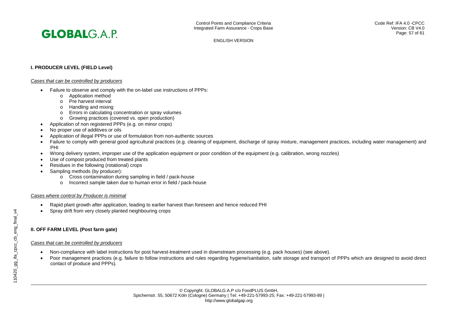# **I. PRODUCER LEVEL (FIELD Level)**

#### *Cases that can be controlled by producers*

- Failure to observe and comply with the on-label use instructions of PPPs:
	- o Application method
	- o Pre harvest interval
	- o Handling and mixing
	- o Errors in calculating concentration or spray volumes
	- o Growing practices (covered vs. open production)
- Application of non registered PPPs (e.g. on minor crops)
- No proper use of additives or oils
- Application of illegal PPPs or use of formulation from non-authentic sources
- Failure to comply with general good agricultural practices (e.g. cleaning of equipment, discharge of spray mixture, management practices, including water management) and PHI
- Wrong delivery system, improper use of the application equipment or poor condition of the equipment (e.g. calibration, wrong nozzles)
- Use of compost produced from treated plants
- Residues in the following (rotational) crops
- Sampling methods (by producer):
	- o Cross contamination during sampling in field / pack-house
	- o Incorrect sample taken due to human error in field / pack-house

# *Cases where control by Producer is minimal*

- Rapid plant growth after application, leading to earlier harvest than foreseen and hence reduced PHI
- Spray drift from very closely planted neighbouring crops

# **II. OFF FARM LEVEL (Post farm gate)**

# *Cases that can be controlled by producers*

- Non-compliance with label instructions for post harvest-treatment used in downstream processing (e.g. pack houses) (see above).
- Poor management practices (e.g. failure to follow instructions and rules regarding hygiene/sanitation, safe storage and transport of PPPs which are designed to avoid direct contact of produce and PPPs).

© Copyright: GLOBALG.A.P c/o FoodPLUS GmbH, Spichernstr. 55, 50672 Köln (Cologne) Germany | Tel: +49-221-57993-25; Fax: +49-221-57993-89 | http://www.globalgap.org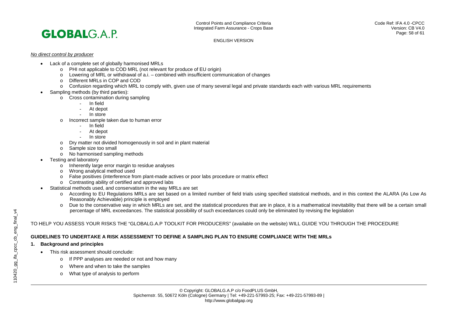

#### *No direct control by producer*

- Lack of a complete set of globally harmonised MRLs
	- o PHI not applicable to COD MRL (not relevant for produce of EU origin)
	- $\circ$  Lowering of MRL or withdrawal of a.i. combined with insufficient communication of changes
	- o Different MRLs in COP and COD
	- o Confusion regarding which MRL to comply with, given use of many several legal and private standards each with various MRL requirements
	- Sampling methods (by third parties):
		- o Cross contamination during sampling
			- In field
			- At depot
			- In store
		- o Incorrect sample taken due to human error
			- In field
			- At depot
			- In store
		- o Dry matter not divided homogenously in soil and in plant material
		- o Sample size too small
		- o No harmonised sampling methods
	- Testing and laboratory
		- o Inherently large error margin to residue analyses
		- o Wrong analytical method used
		- o False positives (interference from plant-made actives or poor labs procedure or matrix effect
		- o Contrasting ability of certified and approved labs
	- Statistical methods used, and conservatism in the way MRLs are set
		- o According to EU Regulations MRLs are set based on a limited number of field trials using specified statistical methods, and in this context the ALARA (As Low As Reasonably Achievable) principle is employed
		- o Due to the conservative way in which MRLs are set, and the statistical procedures that are in place, it is a mathematical inevitability that there will be a certain small percentage of MRL exceedances. The statistical possibility of such exceedances could only be eliminated by revising the legislation

# TO HELP YOU ASSESS YOUR RISKS THE "GLOBALG.A.P TOOLKIT FOR PRODUCERS" (available on the website) WILL GUIDE YOU THROUGH THE PROCEDURE

# **GUIDELINES TO UNDERTAKE A RISK ASSESSMENT TO DEFINE A SAMPLING PLAN TO ENSURE COMPLIANCE WITH THE MRLs**

# **1. Background and principles**

- This risk assessment should conclude:
	- o If PPP analyses are needed or not and how many
	- o Where and when to take the samples
	- o What type of analysis to perform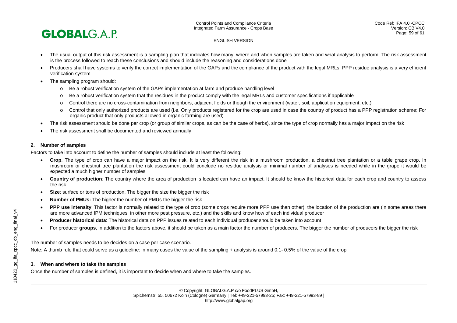

- The usual output of this risk assessment is a sampling plan that indicates how many, where and when samples are taken and what analysis to perform. The risk assessment is the process followed to reach these conclusions and should include the reasoning and considerations done
- Producers shall have systems to verify the correct implementation of the GAPs and the compliance of the product with the legal MRLs. PPP residue analysis is a very efficient verification system
- The sampling program should:
	- o Be a robust verification system of the GAPs implementation at farm and produce handling level
	- o Be a robust verification system that the residues in the product comply with the legal MRLs and customer specifications if applicable
	- o Control there are no cross-contamination from neighbors, adjacent fields or though the environment (water, soil, application equipment, etc.)
	- o Control that only authorized products are used (i.e. Only products registered for the crop are used in case the country of product has a PPP registration scheme; For organic product that only products allowed in organic farming are used)
- The risk assessment should be done per crop (or group of similar crops, as can be the case of herbs), since the type of crop normally has a major impact on the risk
- The risk assessment shall be documented and reviewed annually

# **2. Number of samples**

Factors to take into account to define the number of samples should include at least the following:

- **Crop**. The type of crop can have a major impact on the risk. It is very different the risk in a mushroom production, a chestnut tree plantation or a table grape crop. In mushroom or chestnut tree plantation the risk assessment could conclude no residue analysis or minimal number of analyses is needed while in the grape it would be expected a much higher number of samples
- **Country of production**: The country where the area of production is located can have an impact. It should be know the historical data for each crop and country to assess the risk
- **Size**: surface or tons of production. The bigger the size the bigger the risk
- **Number of PMUs:** The higher the number of PMUs the bigger the risk
- **PPP use intensity**: This factor is normally related to the type of crop (some crops require more PPP use than other), the location of the production are (in some areas there are more advanced IPM techniques, in other more pest pressure, etc.) and the skills and know how of each individual producer
- **Producer historical data**: The historical data on PPP issues related to each individual producer should be taken into account
- For producer **groups**, in addition to the factors above, it should be taken as a main factor the number of producers. The bigger the number of producers the bigger the risk

The number of samples needs to be decides on a case per case scenario.

Note: A thumb rule that could serve as a quideline: in many cases the value of the sampling + analysis is around 0.1-0.5% of the value of the crop.

# **3. When and where to take the samples**

Once the number of samples is defined, it is important to decide when and where to take the samples.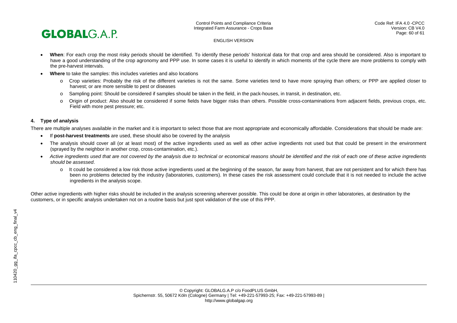

- **When**: For each crop the most risky periods should be identified. To identify these periods' historical data for that crop and area should be considered. Also is important to have a good understanding of the crop agronomy and PPP use. In some cases it is useful to identify in which moments of the cycle there are more problems to comply with the pre-harvest intervals.
- **Where** to take the samples: this includes varieties and also locations
	- o Crop varieties: Probably the risk of the different varieties is not the same. Some varieties tend to have more spraying than others; or PPP are applied closer to harvest; or are more sensible to pest or diseases
	- o Sampling point: Should be considered if samples should be taken in the field, in the pack-houses, in transit, in destination, etc.
	- o Origin of product: Also should be considered if some fields have bigger risks than others. Possible cross-contaminations from adjacent fields, previous crops, etc. Field with more pest pressure; etc.

# **4. Type of analysis**

There are multiple analyses available in the market and it is important to select those that are most appropriate and economically affordable. Considerations that should be made are:

- If **post-harvest treatments** are used, these should also be covered by the analysis
- The analysis should cover all (or at least most) of the active ingredients used as well as other active ingredients not used but that could be present in the environment (sprayed by the neighbor in another crop, cross-contamination, etc.).
- *Active ingredients used that are not covered by the analysis due to technical or economical reasons should be identified and the risk of each one of these active ingredients should be assessed*.
	- o It could be considered a low risk those active ingredients used at the beginning of the season, far away from harvest, that are not persistent and for which there has been no problems detected by the industry (laboratories, customers). In these cases the risk assessment could conclude that it is not needed to include the active ingredients in the analysis scope.

Other active ingredients with higher risks should be included in the analysis screening wherever possible. This could be done at origin in other laboratories, at destination by the customers, or in specific analysis undertaken not on a routine basis but just spot validation of the use of this PPP.